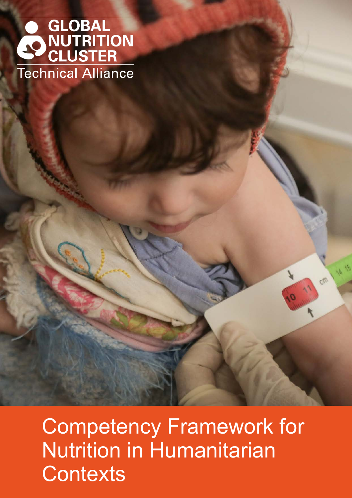# GLOBAL **ONUTRITION Technical Alliance**

Competency Framework for Nutrition in Humanitarian **Contexts**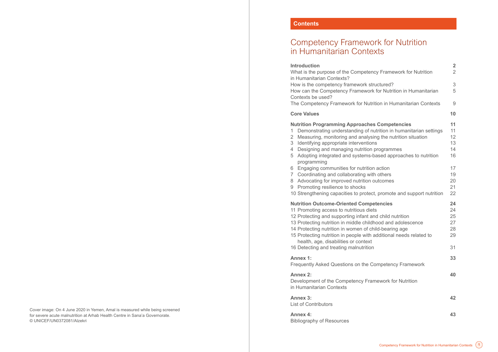#### **Contents**

# <span id="page-1-0"></span>Competency Framework for Nutrition in Humanitarian Contexts

#### **Introduction 2**

#### **[Core Values](#page-6-0)**

#### **Nutrition Programming Approaches**

- 1 Demonstrating understanding of nut
- 2 Measuring, monitoring and analysing
- [3 Identifying appropriate interventions](#page-7-0)
- 4 Designing and managing nutrition position
- 5 Adopting integrated and systems-ba programming
- 6 Engaging communities for nutrition
- 7 Coordinating and collaborating with
- 8 Advocating for improved nutrition out
- [9 Promoting resilience to shocks](#page-11-0)
- 10 Strengthening capacities to protect,

#### **Nutrition Outcome-Oriented Competency**

- 11 Promoting access to nutritious diets
- 12 Protecting and supporting infant and
- 13 Protecting nutrition in middle childho
- 14 Protecting nutrition in women of child-
- 15 Protecting nutrition in people with additional needs relationships. [health, age, disabilities or context](#page-15-0)
- 16 Detecting and treating malnutrition

#### **Annex 1:**

#### **Annex 2:**

| <b>Introduction</b><br>What is the purpose of the Competency Framework for Nutrition                                                                                                                                                                                                                                                                                                                                                 | $\angle$<br>$\overline{2}$             |
|--------------------------------------------------------------------------------------------------------------------------------------------------------------------------------------------------------------------------------------------------------------------------------------------------------------------------------------------------------------------------------------------------------------------------------------|----------------------------------------|
| in Humanitarian Contexts?<br>How is the competency framework structured?<br>How can the Competency Framework for Nutrition in Humanitarian<br>Contexts be used?                                                                                                                                                                                                                                                                      | 3<br>5                                 |
| The Competency Framework for Nutrition in Humanitarian Contexts                                                                                                                                                                                                                                                                                                                                                                      | 9                                      |
| <b>Core Values</b>                                                                                                                                                                                                                                                                                                                                                                                                                   | 10                                     |
| <b>Nutrition Programming Approaches Competencies</b><br>Demonstrating understanding of nutrition in humanitarian settings<br>1<br>Measuring, monitoring and analysing the nutrition situation<br>2<br>Identifying appropriate interventions<br>3<br>Designing and managing nutrition programmes<br>4<br>Adopting integrated and systems-based approaches to nutrition<br>5<br>programming                                            | 11<br>11<br>12<br>13<br>14<br>16       |
| Engaging communities for nutrition action<br>6<br>Coordinating and collaborating with others<br>7<br>Advocating for improved nutrition outcomes<br>8<br>Promoting resilience to shocks<br>9<br>10 Strengthening capacities to protect, promote and support nutrition                                                                                                                                                                 | 17<br>19<br>20<br>21<br>22             |
| <b>Nutrition Outcome-Oriented Competencies</b><br>11 Promoting access to nutritious diets<br>12 Protecting and supporting infant and child nutrition<br>13 Protecting nutrition in middle childhood and adolescence<br>14 Protecting nutrition in women of child-bearing age<br>15 Protecting nutrition in people with additional needs related to<br>health, age, disabilities or context<br>16 Detecting and treating malnutrition | 24<br>24<br>25<br>27<br>28<br>29<br>31 |
| Annex 1:<br>Frequently Asked Questions on the Competency Framework                                                                                                                                                                                                                                                                                                                                                                   | 33                                     |
| <b>Annex 2:</b><br>Development of the Competency Framework for Nutrition<br>in Humanitarian Contexts                                                                                                                                                                                                                                                                                                                                 | 40                                     |
| Annex 3:<br><b>List of Contributors</b>                                                                                                                                                                                                                                                                                                                                                                                              | 42                                     |
| <b>Annex 4:</b>                                                                                                                                                                                                                                                                                                                                                                                                                      | 43                                     |

Bibliography of Resources

Cover image: On 4 June 2020 in Yemen, Amal is measured while being screened for severe acute malnutrition at Arhab Health Centre in Sana'a Governorate. © UNICEF/UN0372081/Alzekri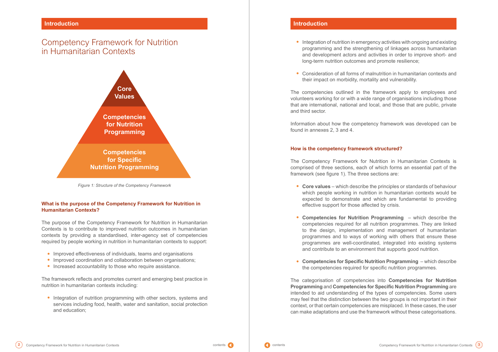#### **What is the purpose of the Competency Framework for Nutrition in Humanitarian Contexts?**

The purpose of the Competency Framework for Nutrition in Humanitarian Contexts is to contribute to improved nutrition outcomes in humanitarian contexts by providing a standardised, inter-agency set of competencies required by people working in nutrition in humanitarian contexts to support:

- **•** Improved effectiveness of individuals, teams and organisations
- **•** Improved coordination and collaboration between organisations;
- **•** Increased accountability to those who require assistance.

The framework reflects and promotes current and emerging best practice in nutrition in humanitarian contexts including:

**•** Integration of nutrition programming with other sectors, systems and services including food, health, water and sanitation, social protection and education;

# <span id="page-2-0"></span>Competency Framework for Nutrition in Humanitarian Contexts

**•** Integration of nutrition in emergency activities with ongoing and existing programming and the strengthening of linkages across humanitarian and development actors and activities in order to improve short- and

- long-term nutrition outcomes and promote resilience;
- **•** Consideration of all forms of malnutrition in humanitarian contexts and their impact on morbidity, mortality and vulnerability.

The competencies outlined in the framework apply to employees and volunteers working for or with a wide range of organisations including those that are international, national and local, and those that are public, private and third sector.

Information about how the competency framework was developed can be found in annexes 2, 3 and 4.

## **How is the competency framework structured?**

The Competency Framework for Nutrition in Humanitarian Contexts is comprised of three sections, each of which forms an essential part of the framework (see figure 1). The three sections are:

which people working in nutrition in humanitarian contexts would be expected to demonstrate and which are fundamental to providing

- **• Core values** which describe the principles or standards of behaviour effective support for those affected by crisis.
- and contribute to an environment that supports good nutrition.
- **• Competencies for Specific Nutrition Programming** which describe the competencies required for specific nutrition programmes.

**• Competencies for Nutrition Programming** – which describe the competencies required for all nutrition programmes. They are linked to the design, implementation and management of humanitarian programmes and to ways of working with others that ensure these programmes are well-coordinated, integrated into existing systems



The categorisation of competencies into **Competencies for Nutrition Programming** and **Competencies for Specific Nutrition Programming** are intended to aid understanding of the types of competencies. Some users may feel that the distinction between the two groups is not important in their context, or that certain competencies are misplaced. In these cases, the user can make adaptations and use the framework without these categorisations.



*Figure 1: Structure of the Competency Framework*

### **Introduction**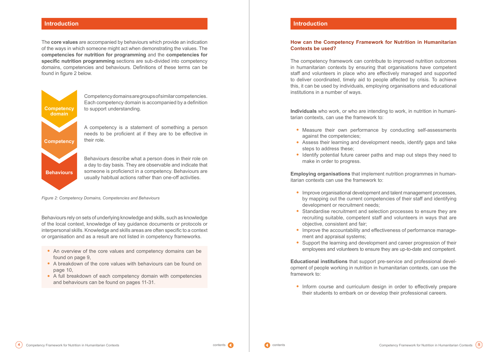The **core values** are accompanied by behaviours which provide an indication of the ways in which someone might act when demonstrating the values. The **competencies for nutrition for programming** and the **competencies for specific nutrition programming** sections are sub-divided into competency domains, competencies and behaviours. Definitions of these terms can be found in figure 2 below.

Behaviours rely on sets of underlying knowledge and skills, such as knowledge of the local context, knowledge of key guidance documents or protocols or interpersonal skills. Knowledge and skills areas are often specific to a context or organisation and as a result are not listed in competency frameworks.

- **•** An overview of the core values and competency domains can be found on page 9,
- **•** A breakdown of the core values with behaviours can be found on page 10,
- **•** A full breakdown of each competency domain with competencies and behaviours can be found on pages 11-31.



Competency domains are groups of similar competencies. Each competency domain is accompanied by a definition to support understanding.

A competency is a statement of something a person needs to be proficient at if they are to be effective in their role.

Behaviours describe what a person does in their role on a day to day basis. They are observable and indicate that someone is proficienct in a competency. Behaviours are usually habitual actions rather than one-off activities.

#### <span id="page-3-0"></span>**Introduction**

*Figure 2: Competency Domains, Competencies and Behaviours*

## **How can the Competency Framework for Nutrition in Humanitarian Contexts be used?**

The competency framework can contribute to improved nutrition outcomes in humanitarian contexts by ensuring that organisations have competent staff and volunteers in place who are effectively managed and supported to deliver coordinated, timely aid to people affected by crisis. To achieve this, it can be used by individuals, employing organisations and educational institutions in a number of ways.

**Individuals** who work, or who are intending to work, in nutrition in humanitarian contexts, can use the framework to:

**•** Assess their learning and development needs, identify gaps and take

- **•** Measure their own performance by conducting self-assessments against the competencies;
- steps to address these;
- **•** Identify potential future career paths and map out steps they need to make in order to progress.

**Employing organisations** that implement nutrition programmes in humanitarian contexts can use the framework to:

by mapping out the current competencies of their staff and identifying

- **•** Improve organisational development and talent management processes, development or recruitment needs;
- **•** Standardise recruitment and selection processes to ensure they are objective, consistent and fair;
- ment and appraisal systems;
- **•** Support the learning and development and career progression of their

recruiting suitable, competent staff and volunteers in ways that are

**•** Improve the accountability and effectiveness of performance manage-

employees and volunteers to ensure they are up-to-date and competent.

**Educational institutions** that support pre-service and professional development of people working in nutrition in humanitarian contexts, can use the framework to:

**•** Inform course and curriculum design in order to effectively prepare



their students to embark on or develop their professional careers.

#### **Introduction**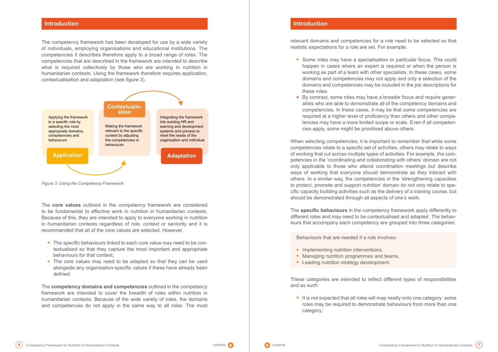The competency framework has been developed for use by a wide variety of individuals, employing organisations and educational institutions. The competencies it describes therefore apply to a broad range of roles. The competencies that are described in the framework are intended to describe what is required collectively by those who are working in nutrition in humanitarian contexts. Using the framework therefore requires application, contextualisation and adaptation (see figure 3).

The **core values** outlined in the competency framework are considered to be fundamental to effective work in nutrition in humanitarian contexts. Because of this, they are intended to apply to everyone working in nutrition in humanitarian contexts regardless of role, context or seniority and it is recommended that all of the core values are selected. However,

- **•** The specific behaviours linked to each core value may need to be contextualised so that they capture the most important and appropriate behaviours for that context;
- **•** The core values may need to be adapted so that they can be used alongside any organisation-specific values if these have already been defined.

The **competency domains and competencies** outlined in the competency framework are intended to cover the breadth of roles within nutrition in humanitarian contexts. Because of the wide variety of roles, the domains and competencies do not apply in the same way to all roles. The most

relevant domains and competencies for a role need to be selected so that realistic expectations for a role are set. For example:

**•** Some roles may have a specialisation or particular focus. This could happen in cases where an expert is required or when the person is working as part of a team with other specialists. In these cases, some domains and competencies may not apply and only a selection of the domains and competencies may be included in the job descriptions for

- these roles.
- **•** By contrast, some roles may have a broader focus and require genercies apply, some might be prioritised above others.

alists who are able to demonstrate all of the competency domains and competencies. In these cases, it may be that some competencies are required at a higher level of proficiency than others and other competencies may have a more limited scope or scale. Even if all competen-

When selecting competencies, it is important to remember that while some competencies relate to a specific set of activities, others may relate to ways of working that cut across multiple types of activities. For example, the competencies in the 'coordinating and collaborating with others' domain are not only applicable to those who attend coordination meetings but describe ways of working that everyone should demonstrate as they interact with others. In a similar way, the competencies in the 'strengthening capacities to protect, promote and support nutrition' domain do not only relate to specific capacity building activities such as the delivery of a training course, but should be demonstrated through all aspects of one's work.

The **specific behaviours** in the competency framework apply differently to different roles and may need to be contextualised and adapted. The behaviours that accompany each competency are grouped into three categories:

Behaviours that are needed if a role involves:

- **•** Implementing nutrition interventions,
- **•** Managing nutrition programmes and teams,
- **•** Leading nutrition strategy development.

These categories are intended to reflect different types of responsibilities and as such:

**•** It is not expected that all roles will map neatly onto one category: some category;

roles may be required to demonstrate behaviours from more than one



#### **Introduction Introduction**



*Figure 3: Using the Competency Framework*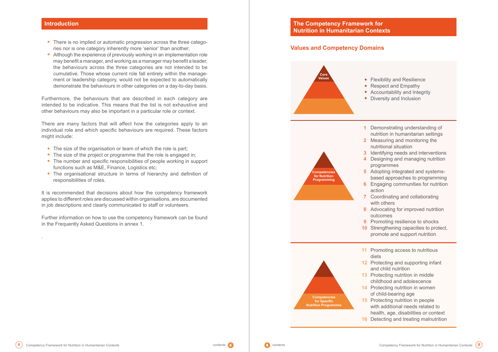- **•** There is no implied or automatic progression across the three catego ries nor is one category inherently more 'senior' than another;
- **•** Although the experience of previously working in an implementation role may benefit a manager, and working as a manager may benefit a leader, the behaviours across the three categories are not intended to be cumulative. Those whose current role fall entirely within the manage ment or leadership category, would not be expected to automatically demonstrate the behaviours in other categories on a day-to-day basis.

- 
- The size of the organisation or team of which the role is part;<br>• The size of the project or programme that the role is engaged in;<br>• The number and specific responsibilities of people working in support
- functions such as M&E, Finance, Logistics etc:
- **•** The organisational structure in terms of hierarchy and definition of responsibilities of roles.

Furthermore, the behaviours that are described in each category are intended to be indicative. This means that the list is not exhaustive and other behaviours may also be important in a particular role or context.

- **•** Flexibility and Resilience **•** Respect and Empathy **•** Accountability and Integrity **•** Diversity and Inclusion
- **1** Demonstrating understanding of nutrition in humanitarian settings **2** Measuring and monitoring the
	- nutritional situation
- **3** Identifying needs and interventions **4** Designing and managing nutrition programmes
- **5** Adopting integrated and systemsbased approaches to programming
- **6** Engaging communities for nutrition action
- **7** Coordinating and collaborating with others
- **8** Advocating for improved nutrition outcomes
- **9** Promoting resilience to shocks
- **10** Strengthening capacities to protect,
	- promote and support nutrition
- **11** Promoting access to nutritious
- **12** Protecting and supporting infant and child nutrition
- **13** Protecting nutrition in middle
	- childhood and adolescence
- **14** Protecting nutrition in women
	- of child-bearing age
- **15** Protecting nutrition in people
	- with additional needs related to
	- health, age, disabilities or context
- **16** Detecting and treating malnutrition

There are many factors that will affect how the categories apply to an individual role and which specific behaviours are required. These factors might include:

It is recommended that decisions about how the competency framework applies to different roles are discussed within organisations, are documented in job descriptions and clearly communicated to staff or volunteers.

Further information on how to use the competency framework can be found in the Frequently Asked Questions in annex 1.

.

<span id="page-5-0"></span>

### **Values and Competency Domains**

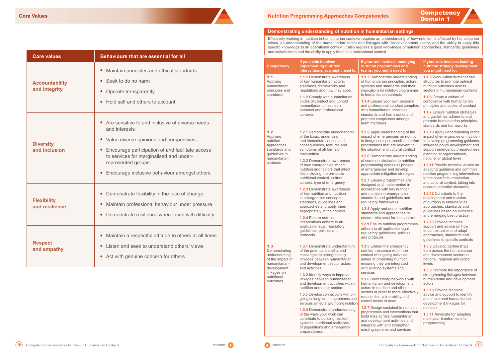| <b>Core values</b>                     | <b>Behaviours that are essential for all</b>                                                                                                                                                                                                                                         |  |  |
|----------------------------------------|--------------------------------------------------------------------------------------------------------------------------------------------------------------------------------------------------------------------------------------------------------------------------------------|--|--|
| <b>Accountability</b><br>and integrity | Maintain principles and ethical standards<br>$\bullet$<br>Seek to do no harm<br>Operate transparently<br>Hold self and others to account                                                                                                                                             |  |  |
| <b>Diversity</b><br>and inclusion      | Are sensitive to and inclusive of diverse needs<br>and interests<br>• Value diverse opinions and perspectives<br>• Encourage participation of and facilitate access<br>to services for marginalised and under-<br>represented groups<br>Encourage inclusive behaviour amongst others |  |  |
| <b>Flexibility</b><br>and resilience   | Demonstrate flexibility in the face of change<br>Maintain professional behaviour under pressure<br>Demonstrate resilience when faced with difficulty                                                                                                                                 |  |  |
| <b>Respect</b><br>and empathy          | Maintain a respectful attitude to others at all times<br>Listen and seek to understand others' views<br>Act with genuine concern for others                                                                                                                                          |  |  |

### <span id="page-6-0"></span>**Domain 1 <b>Core Values Nutrition Programming Approaches Competencies**

#### **Demonstrating understanding of nutrition in humanitarian settings**

Effectively working in nutrition in humanitarian contexts requires an understanding of how nutrition is affected by humanitarian crises, an understanding of the humanitarian sector and linkages with the development sector, and the ability to apply this specific knowledge to an operational context. It also requires a good knowledge of nutrition approaches, standards, guidelines and stakeholders and the ability to apply them in a professional context.

| <b>Competency</b>                                                                                                                   | If your role involves<br>implementing nutrition<br>interventions, you might need to:                                                                                                                                                                                                                                                                                                                                                                                                                                                                                                                                                                                                                             | If your role involves managing<br>nutrition programmes and<br>teams, you might need to:                                                                                                                                                                                                                                                                                                                                                                                                                                                                                                                                                                                                                                                                                                               | If your role involves leading<br>nutrition strategy development,<br>you might need to:                                                                                                                                                                                                                                                                                                                                                                                                                                                                                                                                                                                                                                                                                                                                      |
|-------------------------------------------------------------------------------------------------------------------------------------|------------------------------------------------------------------------------------------------------------------------------------------------------------------------------------------------------------------------------------------------------------------------------------------------------------------------------------------------------------------------------------------------------------------------------------------------------------------------------------------------------------------------------------------------------------------------------------------------------------------------------------------------------------------------------------------------------------------|-------------------------------------------------------------------------------------------------------------------------------------------------------------------------------------------------------------------------------------------------------------------------------------------------------------------------------------------------------------------------------------------------------------------------------------------------------------------------------------------------------------------------------------------------------------------------------------------------------------------------------------------------------------------------------------------------------------------------------------------------------------------------------------------------------|-----------------------------------------------------------------------------------------------------------------------------------------------------------------------------------------------------------------------------------------------------------------------------------------------------------------------------------------------------------------------------------------------------------------------------------------------------------------------------------------------------------------------------------------------------------------------------------------------------------------------------------------------------------------------------------------------------------------------------------------------------------------------------------------------------------------------------|
| 1.1<br>Applying<br>humanitarian<br>principles and<br>standards                                                                      | <b>1.1.1</b> Demonstrate awareness<br>of key humanitarian actors,<br>standards, frameworks and<br>regulations and how they apply<br>1.1.2 Comply with humanitarian<br>codes of conduct and uphold<br>humanitarian principles in<br>personal and professional<br>contexts                                                                                                                                                                                                                                                                                                                                                                                                                                         | 1.1.3 Demonstrate understanding<br>of humanitarian principles, actors,<br>systems and standards and their<br>implications for nutrition programmes<br>in humanitarian contexts<br><b>1.1.4</b> Ensure your own personal<br>and professional conduct complies<br>with humanitarian principles<br>standards and frameworks and<br>promote compliance amongst<br>team members                                                                                                                                                                                                                                                                                                                                                                                                                            | <b>1.1.5</b> Work within humanitarian<br>structures to promote optimal<br>nutrition outcomes across<br>sectors in humanitarian contexts<br>1.1.6 Create a culture of<br>compliance with humanitarian<br>principles and codes of conduct<br><b>1.1.7</b> Ensure nutrition strategies<br>and guidelines adhere to and<br>promote humanitarian principles,<br>standards and frameworks                                                                                                                                                                                                                                                                                                                                                                                                                                         |
| 1.2<br>Applying<br>nutrition<br>approaches,<br>standards and<br>guidelines in<br>humanitarian<br>contexts                           | 1.2.1 Demonstrate understanding<br>of the basic, underlying<br>and immediate causes and<br>consequences, features and<br>symptoms of all forms of<br>malnutrition<br><b>1.2.2</b> Demonstrate awareness<br>of how emergencies impact<br>nutrition and factors that affect<br>this including the pre-crisis<br>nutritional context, cultural<br>context, type of emergency<br><b>1.2.3</b> Demonstrate awareness<br>of key nutrition and nutrition<br>in emergencies concepts,<br>standards, guidelines and<br>approaches and apply them<br>appropriately in the context<br><b>1.2.4</b> Ensure nutrition<br>interventions adhere to all<br>applicable legal, regulatory<br>guidelines, policies and<br>protocols | 1.2.5 Apply understanding of the<br>impact of emergencies on nutrition<br>to design and operationalise nutrition<br>programmes that are relevant to<br>the situation and cultural context<br><b>1.2.6</b> Demonstrate understanding<br>of common obstacles to nutrition<br>programming across all phases<br>of emergencies and develop<br>appropriate mitigation strategies<br>1.2.7 Ensure programmes are<br>designed and implemented in<br>accordance with key nutrition<br>and nutrition in emergencies<br>standards and guidelines and<br>regulatory frameworks<br>1.2.8 Apply and adapt nutrition<br>standards and approaches to<br>ensure relevance for the context<br>1.2.9 Ensure nutrition programmes<br>adhere to all applicable legal,<br>regulatory guidelines, policies<br>and protocols | 1.2.10 Apply understanding of the<br>impact of emergencies on nutrition<br>to develop programming guidance,<br>influence policy development and<br>support emergency preparedness<br>planning at organisational,<br>national or global level<br><b>1.2.11</b> Provide technical advice on<br>adapting guidance and common<br>nutrition programming interventions<br>to the specific humanitarian<br>and cultural context, taking into<br>account potential obstacles<br><b>1.2.12</b> Contribute to the<br>development and revision<br>of nutrition in emergencies<br>approaches, standards and<br>guidelines based on evidence<br>and emerging best practice<br><b>1.2.13 Provide technical</b><br>support and advice on how<br>to contextualise and adapt<br>approaches, standards and<br>guidelines to specific contexts |
| 1.3<br>Demonstrating<br>understanding<br>of the impact of<br>humanitarian-<br>development<br>linkages on<br>nutritional<br>outcomes | <b>1.3.1</b> Demonstrate understanding<br>of the potential benefits and<br>challenges to strengthening<br>linkages between humanitarian<br>and development sector actors<br>and activities<br>1.3.2 Identify ways to improve<br>linkages between humanitarian<br>and development activities within<br>nutrition and other sectors<br><b>1.3.3</b> Develop connections with on-<br>going or long-term programmes and<br>services aimed at promoting nutrition<br>1.3.4 Demonstrate understanding<br>of the ways your work can<br>contribute to building resilient<br>systems, nutritional resilience<br>of populations and emergency<br>preparedness                                                              | <b>1.3.5</b> Embed the emergency<br>nutrition response within the<br>context of ongoing activities<br>aimed at promoting nutrition<br>ensuring they are integrated<br>with existing systems and<br>services<br><b>1.3.6</b> Build strong networks with<br>humanitarian and development<br>actors in nutrition and other<br>sectors in order to more effectively<br>reduce risk, vulnerability and<br>overall levels of need<br>1.3.7 Design sustainable nutrition<br>programmes and interventions that<br>build links across humanitarian<br>and development activities and<br>integrate with and strengthen<br>existing systems and services                                                                                                                                                         | <b>1.3.8</b> Develop partnerships<br>from across the humanitarian<br>and development sectors at<br>national, regional and global<br>levels<br>1.3.9 Promote the importance of<br>strengthening linkages between<br>humanitarian and development<br>actors<br><b>1.3.10</b> Provide technical<br>advice and support to identify<br>and implement humanitarian-<br>development linkages for<br>nutrition<br>1.3.11 Advocate for adopting<br>multi-year timeframes into<br>programming                                                                                                                                                                                                                                                                                                                                         |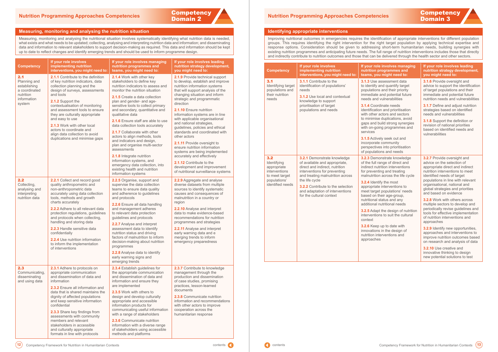# **Competency**



#### **Identifying appropriate interventions**

Improving nutritional outcomes in emergencies requires the identification of appropriate interventions for different population groups. This requires identifying the right intervention for the right target population by applying technical expertise and response options. Consideration should be given to addressing short-term humanitarian needs, building synergies with existing nutrition programmes and anticipating future needs. The full range of nutrition interventions includes those that directly and indirectly contribute to nutrition outcomes and those that can be delivered through the health sector and other sectors.

#### <span id="page-7-0"></span>**Measuring, monitoring and analysing the nutrition situation**

Measuring, monitoring and analysing the nutritional situation involves systematically identifying what nutrition data is needed, what exists and what needs to be updated; collecting, analysing and interpreting nutrition data and information; and disseminating data and information to relevant stakeholders to support decision-making as required. This data and information should be kept up to date to reflect changes and identify emerging trends and should be used to inform programme design.

| <b>Competency</b>                                                                          | If your role involves<br>implementing nutrition<br>interventions, you might need to:                                                                                                                                                                                                                                                                                                                                                                           | If your role involves managing<br>nutrition programmes and<br>teams, you might need to:                                                                                                                                                                                                                                                                                                                                                                                                                                                                                                                                                                                     | If your role involves leading<br>nutrition strategy development,<br>you might need to:                                                                                                                                                                                                                                                                                                                                                                                                                                                                                                                                                                                   |  | Comp                                                                                        |
|--------------------------------------------------------------------------------------------|----------------------------------------------------------------------------------------------------------------------------------------------------------------------------------------------------------------------------------------------------------------------------------------------------------------------------------------------------------------------------------------------------------------------------------------------------------------|-----------------------------------------------------------------------------------------------------------------------------------------------------------------------------------------------------------------------------------------------------------------------------------------------------------------------------------------------------------------------------------------------------------------------------------------------------------------------------------------------------------------------------------------------------------------------------------------------------------------------------------------------------------------------------|--------------------------------------------------------------------------------------------------------------------------------------------------------------------------------------------------------------------------------------------------------------------------------------------------------------------------------------------------------------------------------------------------------------------------------------------------------------------------------------------------------------------------------------------------------------------------------------------------------------------------------------------------------------------------|--|---------------------------------------------------------------------------------------------|
| 2.1<br>Planning and<br>establishing<br>a coordinated<br>nutrition<br>information<br>system | 2.1.1 Contribute to the definition<br>of key nutrition indicators, data<br>collection planning and the<br>design of surveys, assessments<br>and tools<br>2.1.2 Support the<br>contextualisation of monitoring<br>and assessment tools to ensure<br>they are culturally appropriate<br>and easy to use<br><b>2.1.3</b> Work with other local<br>actors to coordinate and<br>align data collection to avoid<br>duplications and minimise gaps                    | 2.1.4 Work with other key<br>stakeholders to define key<br>nutrition indicators to assess and<br>monitor the nutrition situation<br>2.1.5 Create a data collection<br>plan and gender- and age-<br>sensitive tools to collect primary<br>and secondary, quantitative and<br>qualitative data<br>2.1.6 Ensure staff are able to use<br>data collection tools accurately<br>2.1.7 Collaborate with other<br>actors to align methods, tools<br>and indicators and design,<br>plan and organise multi-sector<br>assessments<br>2.1.8 Integrate nutrition<br>information systems, and<br>emergency data collection, into<br>existing health and nutrition<br>information systems | 2.1.9 Provide technical support<br>to develop, establish and improve<br>nutrition information systems<br>that will support analysis of the<br>changing situation and inform<br>strategic and programmatic<br>direction<br>2.1.10 Ensure nutrition<br>information systems are in line<br>with applicable organisational<br>and national strategies,<br>guidelines, policies and ethical<br>standards and coordinated with<br>other actors<br>2.1.11 Provide oversight to<br>ensure nutrition information<br>systems are being implemented<br>accurately and effectively<br>2.1.12 Contribute to the<br>development and improvement<br>of nutritional surveillance systems |  | 3.1<br>Identif<br>popula<br>their n<br>needs<br>3.2<br>Identif<br>appro<br>interve<br>to me |
| 2.2<br>Collecting,<br>analysing and<br>interpreting<br>nutrition data                      | 2.2.1 Collect and record good<br>quality anthropometric and<br>non-anthropometric data<br>accurately using data collection<br>tools, methods and growth<br>charts accurately<br>2.2.2 Adhere to all relevant data<br>protection regulations, guidelines<br>and protocols when collecting,<br>handling and storing data<br>2.2.3 Handle sensitive data<br>confidentially<br>2.2.4 Use nutrition information<br>to inform the implementation<br>of interventions | 2.2.5 Organise, support and<br>supervise the data collection<br>teams to ensure data quality<br>and adherence to guidelines<br>and protocols<br>2.2.6 Ensure all data handling<br>and management adheres<br>to relevant data protection<br>guidelines and protocols<br>2.2.7 Analyse and interpret<br>assessment data to identify<br>nutrition status and driving<br>factors of malnutrition to inform<br>decision-making about nutrition<br>programmes<br>2.2.8 Analyse data to identify<br>early warning signs and<br>emerging trends                                                                                                                                     | 2.2.9 Aggregate and analyse<br>diverse datasets from multiple<br>sources to identify systematic<br>causes and consequences of<br>malnutrition in a country or<br>region<br>2.2.10 Analyse and interpret<br>data to make evidence-based<br>recommendations for nutrition<br>programmes and strategies<br>2.2.11 Analyse and interpret<br>early warning data and e<br>merging trends to inform<br>emergency preparedness                                                                                                                                                                                                                                                   |  | popula<br>identif                                                                           |
| 2.3<br>Communicating,<br>disseminating<br>and using data                                   | 2.3.1 Adhere to protocols on<br>appropriate communication<br>and dissemination of data and<br>information<br>2.3.2 Ensure all information and<br>data that is shared maintains the<br>dignity of affected populations<br>and keep sensitive information<br>confidential<br>2.3.3 Share key findings from<br>assessments with community<br>members and relevant<br>stakeholders in accessible<br>and culturally appropriate<br>formats in line with protocols   | 2.3.4 Establish guidelines for<br>the appropriate communication<br>and dissemination of data and<br>information and ensure they<br>are implemented<br>2.3.5 Work with others to<br>design and develop culturally<br>appropriate and accessible<br>information products for<br>communicating useful information<br>with a range of stakeholders<br>2.3.6 Communicate nutrition<br>information with a diverse range<br>of stakeholders using accessible<br>methods and platforms                                                                                                                                                                                              | 2.3.7 Contribute to knowledge<br>management through the<br>production and dissemination<br>of case studies, promising<br>practices, lesson-learned<br>documents<br>2.3.8 Communicate nutrition<br>information and recommendations<br>with other actors to improve<br>cooperation across the<br>humanitarian response                                                                                                                                                                                                                                                                                                                                                     |  |                                                                                             |

| <b>Competency</b>                                                                                        | If your role involves<br>implementing nutrition<br>interventions, you might need to:                                                                                                                                                                                                     | If your role involves managing<br>nutrition programmes and<br>teams, you might need to:                                                                                                                                                                                                                                                                                                                                                                                                                                                                            | If your role involves leading<br>nutrition strategy development,<br>you might need to:                                                                                                                                                                                                                                                                                                                                                                                                                                                                                                                                                                                     |
|----------------------------------------------------------------------------------------------------------|------------------------------------------------------------------------------------------------------------------------------------------------------------------------------------------------------------------------------------------------------------------------------------------|--------------------------------------------------------------------------------------------------------------------------------------------------------------------------------------------------------------------------------------------------------------------------------------------------------------------------------------------------------------------------------------------------------------------------------------------------------------------------------------------------------------------------------------------------------------------|----------------------------------------------------------------------------------------------------------------------------------------------------------------------------------------------------------------------------------------------------------------------------------------------------------------------------------------------------------------------------------------------------------------------------------------------------------------------------------------------------------------------------------------------------------------------------------------------------------------------------------------------------------------------------|
| 3.1<br>Identifying target<br>populations and<br>their nutrition<br>needs                                 | 3.1.1 Contribute to the<br>identification of populations'<br>needs<br>3.1.2 Use local and contextual<br>knowledge to support                                                                                                                                                             | 3.1.3 Use assessment data<br>to identify and quantify target<br>populations and their priority<br>immediate and potential future<br>needs and vulnerabilities                                                                                                                                                                                                                                                                                                                                                                                                      | 3.1.6 Provide oversight and<br>advice to support the identification<br>of target populations and their<br>immediate and potential future<br>nutrition needs and vulnerabilities                                                                                                                                                                                                                                                                                                                                                                                                                                                                                            |
|                                                                                                          | prioritisation of target<br>populations and needs                                                                                                                                                                                                                                        | 3.1.4 Coordinate needs<br>identification and prioritisation<br>with other actors and sectors<br>to minimise duplications, avoid<br>gaps and build strong synergies<br>with on-going programmes and<br>services                                                                                                                                                                                                                                                                                                                                                     | <b>3.1.7</b> Define and adjust nutrition<br>strategies based on identified<br>needs and vulnerabilities<br>3.1.8 Support the definition or<br>revision of national priorities<br>based on identified needs and<br>vulnerabilities                                                                                                                                                                                                                                                                                                                                                                                                                                          |
|                                                                                                          |                                                                                                                                                                                                                                                                                          | 3.1.5 Actively seek out and<br>incorporate community<br>perspectives into prioritisation<br>of populations and needs                                                                                                                                                                                                                                                                                                                                                                                                                                               |                                                                                                                                                                                                                                                                                                                                                                                                                                                                                                                                                                                                                                                                            |
| 3.2<br>Identifying<br>appropriate<br>interventions<br>to meet target<br>populations'<br>identified needs | 3.2.1 Demonstrate knowledge<br>of available and appropriate,<br>direct and indirect, nutrition<br>interventions for preventing<br>and treating malnutrition across<br>the life cycle<br>3.2.2 Contribute to the selection<br>and adaptation of interventions<br>for the cultural context | 3.2.3 Demonstrate knowledge<br>of the full range of direct and<br>indirect nutrition interventions<br>for preventing and treating<br>malnutrition across the life cycle<br>3.2.4 Identify the most<br>appropriate interventions to<br>meet target populations' needs<br>based on their age-group,<br>nutritional status and any<br>additional nutritional needs<br>3.2.5 Adapt the design of nutrition<br>interventions to suit the cultural<br>context<br>3.2.6 Keep up to date with<br>innovations in the design of<br>nutrition interventions and<br>approaches | 3.2.7 Provide oversight and<br>advice on the selection of<br>appropriate direct and indirect<br>nutrition interventions to meet<br>identified needs of target<br>populations in line with relevant<br>organisational, national and<br>global strategies and priorities<br>and based on evidence<br>3.2.8 Work with others across<br>multiple sectors to develop and<br>periodically revise guidelines and<br>tools for effective implementation<br>of nutrition interventions and<br>approaches<br>3.2.9 Identify new opportunities,<br>approaches and interventions to<br>improve nutrition outcomes based<br>on research and analysis of data<br>3.2.10 Use creative and |
|                                                                                                          |                                                                                                                                                                                                                                                                                          |                                                                                                                                                                                                                                                                                                                                                                                                                                                                                                                                                                    | innovative thinking to design<br>new potential solutions to test                                                                                                                                                                                                                                                                                                                                                                                                                                                                                                                                                                                                           |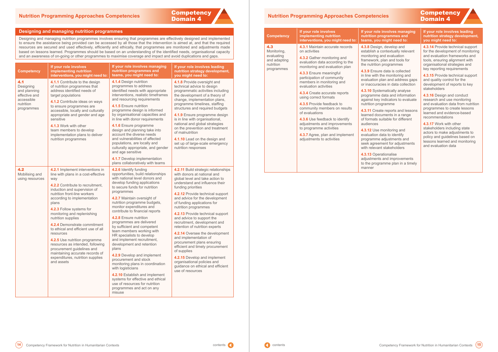## **Competency** Domain 4

#### <span id="page-8-0"></span>**Designing and managing nutrition programmes**

Designing and managing nutrition programmes involves ensuring that programmes are effectively designed and implemented to ensure the assistance being provided can be accessed by all those that the intervention is aimed at, and that the required resources are secured and used effectively, efficiently and ethically, that programmes are monitored and adjustments made based on lessons learned. Programmes should be based on an understanding of the identified needs, organisational capacity and an awareness of on-going or other programmes to maximise coverage and impact and avoid duplications and gaps.

| 4.3<br>Monitoring,<br>evaluating<br>and adapting<br>nutrition<br>programmes | 4.3.1 Maintain accurate records<br>on activities<br>4.3.2 Gather monitoring and                             |                                                                                           |
|-----------------------------------------------------------------------------|-------------------------------------------------------------------------------------------------------------|-------------------------------------------------------------------------------------------|
|                                                                             |                                                                                                             | 4.3.8 Design, do<br>establish a cont                                                      |
|                                                                             | evaluation data according to the<br>monitoring and evaluation plan                                          | monitoring and<br>framework, plar<br>the nutrition pro                                    |
|                                                                             | 4.3.3 Ensure meaningful<br>participation of community<br>members in monitoring and<br>evaluation activities | 4.3.9 Ensure da<br>in line with the r<br>evaluation plan<br>or inaccuracies               |
|                                                                             | 4.3.4 Create accurate reports<br>using correct formats                                                      | 4.3.10 Systema<br>programme dat<br>against key indi                                       |
|                                                                             | 4.3.5 Provide feedback to<br>community members on results<br>of evaluations                                 | nutrition progra<br><b>4.3.11 Create re</b><br>learned docume                             |
|                                                                             | 4.3.6 Use feedback to identify<br>adjustments and improvements                                              | of formats suita<br>audiences                                                             |
|                                                                             | to programme activities<br>4.3.7 Agree, plan and implement<br>adjustments to activities                     | 4.3.12 Use mor<br>evaluation data<br>programme adjı<br>seek agreemen<br>with relevant sta |
|                                                                             |                                                                                                             | 4.3.13 Operatio<br>adjustments an<br>to the programr<br>manner                            |

# **Competency**

#### *<u><b>I* olves managing</u> **ammes and theams** for the state to:

levelop and textually relevant evaluation n and tools for ogrammes

ata is collected monitoring and and address gaps in data collection

atically analyse ta and information licators to evaluate umme

**eports and lessons** ents in a range able for different

**hitoring and** a to identify justments and nt for adjustments akeholders

**analise** d improvements me plan in a timely

| <b>Competency</b>                                                                          | If your role involves<br>implementing nutrition<br>interventions, you might need to:                                                                                                                                                                                                                                                                                                                                                                                                                                                                                                    | If your role involves managing<br>nutrition programmes and<br>teams, you might need to:                                                                                                                                                                                                                                                                                                                                                                                                                                                                                                                                                                                                                                                                                                         | If your role involves leading<br>nutrition strategy development,<br>you might need to:                                                                                                                                                                                                                                                                                                                                                                                                                                                                                                                                                                                                             | nutrition<br>programmes |
|--------------------------------------------------------------------------------------------|-----------------------------------------------------------------------------------------------------------------------------------------------------------------------------------------------------------------------------------------------------------------------------------------------------------------------------------------------------------------------------------------------------------------------------------------------------------------------------------------------------------------------------------------------------------------------------------------|-------------------------------------------------------------------------------------------------------------------------------------------------------------------------------------------------------------------------------------------------------------------------------------------------------------------------------------------------------------------------------------------------------------------------------------------------------------------------------------------------------------------------------------------------------------------------------------------------------------------------------------------------------------------------------------------------------------------------------------------------------------------------------------------------|----------------------------------------------------------------------------------------------------------------------------------------------------------------------------------------------------------------------------------------------------------------------------------------------------------------------------------------------------------------------------------------------------------------------------------------------------------------------------------------------------------------------------------------------------------------------------------------------------------------------------------------------------------------------------------------------------|-------------------------|
| 4.1<br>Designing<br>and planning<br>effective and<br>accessible<br>nutrition<br>programmes | 4.1.1 Contribute to the design<br>of nutrition programmes that<br>address identified needs of<br>target populations<br>4.1.2 Contribute ideas on ways<br>to ensure programmes are<br>accessible, locally and culturally<br>appropriate and gender and age<br>sensitive<br>4.1.3 Work with other<br>team members to develop<br>implementation plans to deliver<br>nutrition programmes                                                                                                                                                                                                   | 4.1.4 Design nutrition<br>programmes to address<br>identified needs with appropriate<br>interventions, realistic timeframes<br>and resourcing requirements<br>4.1.5 Ensure nutrition<br>programme design is informed<br>by organisational capacities and<br>in line with donor requirements<br>4.1.6 Ensure programme<br>design and planning take into<br>account the diverse needs<br>and vulnerabilities of affected<br>populations, are locally and<br>culturally appropriate, and gender<br>and age sensitive<br>4.1.7 Develop implementation<br>plans collaboratively with teams                                                                                                                                                                                                           | 4.1.8 Provide oversight and<br>technical advice to design<br>programmatic activities including<br>the development of a theory of<br>change, implementation plans,<br>programme timelines, staffing<br>structures and required budgets<br>4.1.9 Ensure programme design<br>is in line with organisational,<br>national and global strategies<br>on the prevention and treatment<br>of malnutrition<br>4.1.10 Lead on the design and<br>set up of large-scale emergency<br>nutrition responses                                                                                                                                                                                                       |                         |
| 4.2<br>Mobilising and<br>using resources                                                   | 4.2.1 Implement interventions in<br>line with plans in a cost-effective<br>way<br>4.2.2 Contribute to recruitment,<br>induction and supervision of<br>nutrition front-line workers<br>according to implementation<br>plans<br>4.2.3 Follow systems for<br>monitoring and replenishing<br>nutrition supplies<br>4.2.4 Demonstrate commitment<br>to ethical and efficient use of all<br>resources<br>4.2.5 Use nutrition programme<br>resources as intended, following<br>procurement guidelines and<br>maintaining accurate records of<br>expenditures, nutrition supplies<br>and assets | 4.2.6 Identify funding<br>opportunities, build relationships<br>with national level donors and<br>develop funding applications<br>to secure funds for nutrition<br>programmes<br>4.2.7 Maintain oversight of<br>nutrition programme budgets,<br>monitor expenditures and<br>contribute to financial reports<br>4.2.8 Ensure nutrition<br>programmes are delivered<br>by sufficient and competent<br>team members working with<br>HR specialists to develop<br>and implement recruitment,<br>development and retention<br>plans<br>4.2.9 Develop and implement<br>procurement and stock<br>monitoring plans in coordination<br>with logisticians<br>4.2.10 Establish and implement<br>systems for effective and ethical<br>use of resources for nutrition<br>programmes and act on any<br>misuse | 4.2.11 Build strategic relationships<br>with donors at national and<br>global level and take action to<br>understand and influence their<br>funding priorities<br>4.2.12 Provide technical support<br>and advice for the development<br>of funding applications for<br>nutrition programmes<br>4.2.13 Provide technical support<br>and advice to support the<br>recruitment, development and<br>retention of nutrition experts<br>4.2.14 Oversee the development<br>and implementation of<br>procurement plans ensuring<br>efficient and timely procurement<br>of supplies<br>4.2.15 Develop and implement<br>organisational policies and<br>guidance on ethical and efficient<br>use of resources |                         |

#### **If your role involves leading nutrition strategy development, you might need to:**

**4.3.14** Provide technical support for the development of monitoring and evaluation frameworks and tools, ensuring alignment with organisational strategies and key reporting requirements

**4.3.15** Provide technical support and quality control for the development of reports to key stakeholders

**4.3.16** Design and conduct research and use monitoring and evaluation data from nutrition programmes to create lessons learned and evidence-based recommendations

**4.3.17** Work with other stakeholders including state actors to make adjustments to policy and guidelines based on lessons learned and monitoring and evaluation data

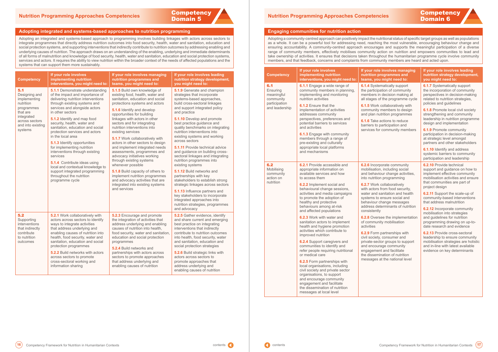# <span id="page-9-0"></span>**Nutrition Programming Approaches Competencies**<br> **Domain 5 Nutrition Programming Approaches Competency Competency**<br> **Domain 6**



#### **Engaging communities for nutrition action**

Adopting a community-centred approach can positively impact the nutritional status of specific target groups as well as populations as a whole. It can be a powerful tool for addressing need, reaching the most vulnerable, encouraging behaviour change and ensuring accountability. A community-centred approach encourages and supports the meaningful participation of a diverse range of community members, effectively mobilises community action on nutrition and empowers communities to lead and take ownership of activities. It ensures that decisions taken throughout the humanitarian programme cycle involve community members, and that feedback, concerns and complaints from community members are heard and acted upon.

#### **Adopting integrated and systems-based approaches to nutrition programming**

Adopting an integrated and systems-based approach to programming involves building linkages with actors across sectors to integrate programmes that directly address nutrition outcomes into food security, health, water and sanitation, education and social protection systems, and supporting interventions that indirectly contribute to nutrition outcomes by addressing enabling and underlying causes of nutrition. The approach draws on an understanding of the enabling, underlying and immediate determinants of all forms of malnutrition and knowledge of food security, health, water and sanitation, education and social protection systems, services and actors. It requires the ability to view nutrition within the broader context of the needs of affected populations and the systems that can support them more sustainably.

| <b>Competency</b>                                                             | If your role involves<br>implementing nutrition<br>interventions, you might need to:                                                                                                                                                                                                                                                                                                                                                                                                                                                                                                                                                                                                                                                                                                                                                                              | If your role involves managing<br>nutrition programmes and<br>teams, you might need to:                                                                                                                                                                                                                                                                                                                                                                                                                                                                                                                                                                                    | If your role involves leading<br>nutrition strategy development,<br>you might need to:                                                                                                                                                                                                                                                                                                                                                                                                                                                                                                                                                    |
|-------------------------------------------------------------------------------|-------------------------------------------------------------------------------------------------------------------------------------------------------------------------------------------------------------------------------------------------------------------------------------------------------------------------------------------------------------------------------------------------------------------------------------------------------------------------------------------------------------------------------------------------------------------------------------------------------------------------------------------------------------------------------------------------------------------------------------------------------------------------------------------------------------------------------------------------------------------|----------------------------------------------------------------------------------------------------------------------------------------------------------------------------------------------------------------------------------------------------------------------------------------------------------------------------------------------------------------------------------------------------------------------------------------------------------------------------------------------------------------------------------------------------------------------------------------------------------------------------------------------------------------------------|-------------------------------------------------------------------------------------------------------------------------------------------------------------------------------------------------------------------------------------------------------------------------------------------------------------------------------------------------------------------------------------------------------------------------------------------------------------------------------------------------------------------------------------------------------------------------------------------------------------------------------------------|
| 6.1<br>Ensuring<br>meaningful<br>community<br>participation<br>and leadership | 6.1.1 Engage a wide range of<br>community members in planning,<br>implementing and monitoring<br>nutrition activities<br>6.1.2 Ensure that the<br>implementation of activities<br>addresses community<br>perspectives, preferences and<br>potential barriers to services<br>and activities<br><b>6.1.3</b> Engage with community<br>members through a range of<br>pre-existing and culturally<br>appropriate local platforms<br>and mechanisms                                                                                                                                                                                                                                                                                                                                                                                                                    | <b>6.1.4</b> Systematically support<br>the participation of community<br>members in decision making at<br>all stages of the programme cycle<br>6.1.5 Work collaboratively with<br>community members to design<br>and plan nutrition programmes<br><b>6.1.6</b> Take actions to reduce<br>barriers to participation and<br>services for community members                                                                                                                                                                                                                                                                                                                   | 6.1.7 Systematically support<br>the incorporation of community<br>perspectives in decision-making<br>related to nutrition strategies,<br>policies and guidelines<br>6.1.8 Promote local civil society<br>strengthening and community<br>leadership in nutrition programme<br>design and implementation<br><b>6.1.9</b> Promote community<br>participation in decision-making<br>at strategic level amongst<br>partners and other stakeholders<br><b>6.1.10</b> Identify and address<br>systemic barriers to community<br>participation and leadership                                                                                     |
| 6.2<br>Mobilising<br>community<br>action on<br>nutrition                      | 6.2.1 Provide accessible and<br>appropriate information on<br>available services and how<br>to access them<br>6.2.2 Implement social and<br>behavioural change sessions,<br>activities and media campaigns<br>to promote the adoption of<br>healthy and protective<br>behaviours among at-risk<br>and affected populations<br>6.2.3 Work with water and<br>sanitation actors to implement<br>health and hygiene promotion<br>activities which contribute to<br>improved nutrition<br>6.2.4 Support caregivers and<br>communities to identify and<br>refer people requiring nutritional<br>or medical care<br>6.2.5 Form partnerships with<br>local organisations, including<br>civil society and private sector<br>organisations, to support<br>and encourage community<br>engagement and facilitate<br>the dissemination of nutrition<br>messages at local level | 6.2.6 Incorporate community<br>mobilisation, including social<br>and behaviour change activities,<br>into nutrition programming<br><b>6.2.7</b> Work collaboratively<br>with actors from food security,<br>water and sanitation and health<br>systems to ensure social and<br>behaviour change messages<br>address determinants of nutrition<br>consistently<br>6.2.8 Oversee the implementation<br>of community mobilisation<br>activities<br>6.2.9 Form partnerships with<br>civil society, consumer and<br>private-sector groups to support<br>and encourage community<br>engagement and facilitate<br>the dissemination of nutrition<br>messages at the national level | <b>6.2.10</b> Provide technical<br>support and guidance on how to<br>implement effective community<br>mobilisation activities and ensure<br>that communities are part of<br>project design<br>6.2.11 Support the scale-up of<br>community-based interventions<br>that address malnutrition<br>6.2.12 Incorporate community<br>mobilisation into strategies<br>and guidelines for nutrition<br>programming drawing on up-to-<br>date research and evidence<br>6.2.13 Provide cross-sectoral<br>leadership to ensure community<br>mobilisation strategies are holistic<br>and in-line with latest available<br>evidence on key determinants |



| <b>Competency</b>                                                                                                                           | If your role involves<br>implementing nutrition<br>interventions, you might need to:                                                                                                                                                                                                                                                                                                                                                                                                                                                                                                                                                          | If your role involves managing<br>nutrition programmes and<br>teams, you might need to:                                                                                                                                                                                                                                                                                                                                                                                                                                                                                                                                                                                                                          | If your role involves leading<br>nutrition strategy development,<br>you might need to:                                                                                                                                                                                                                                                                                                                                                                                                                                                                                                                                                                                                                                                                                                                               |
|---------------------------------------------------------------------------------------------------------------------------------------------|-----------------------------------------------------------------------------------------------------------------------------------------------------------------------------------------------------------------------------------------------------------------------------------------------------------------------------------------------------------------------------------------------------------------------------------------------------------------------------------------------------------------------------------------------------------------------------------------------------------------------------------------------|------------------------------------------------------------------------------------------------------------------------------------------------------------------------------------------------------------------------------------------------------------------------------------------------------------------------------------------------------------------------------------------------------------------------------------------------------------------------------------------------------------------------------------------------------------------------------------------------------------------------------------------------------------------------------------------------------------------|----------------------------------------------------------------------------------------------------------------------------------------------------------------------------------------------------------------------------------------------------------------------------------------------------------------------------------------------------------------------------------------------------------------------------------------------------------------------------------------------------------------------------------------------------------------------------------------------------------------------------------------------------------------------------------------------------------------------------------------------------------------------------------------------------------------------|
| 5.1<br>Designing and<br>implementing<br>nutrition<br>programmes<br>that are<br>integrated<br>across sectors<br>and into existing<br>systems | <b>5.1.1</b> Demonstrate understanding<br>of the impact and importance of<br>delivering nutrition interventions<br>through existing systems and<br>services and alongside actors<br>in other sectors<br><b>5.1.2</b> Identify and map food<br>security, health, water and<br>sanitation, education and social<br>protection services and actors<br>in the local area<br>5.1.3 Identify opportunities<br>for implementing nutrition<br>interventions through existing<br>services<br><b>5.1.4</b> Contribute ideas using<br>local and contextual knowledge to<br>support integrated programming<br>throughout the nutrition<br>programme cycle | 5.1.5 Build own knowledge of<br>existing food, health, water and<br>sanitation, education and social<br>protections systems and actors<br>5.1.6 Identify and develop<br>opportunities for building<br>linkages with actors in other<br>sectors and for integrating<br>nutrition interventions into<br>existing services<br>5.1.7 Work collaboratively with<br>actors in other sectors to design<br>and implement integrated needs<br>assessments, programmes and<br>advocacy initiatives working<br>through existing systems<br>whenever possible<br>5.1.8 Build capacity of others to<br>implement nutrition programmes<br>and advocacy activities that are<br>integrated into existing systems<br>and services | 5.1.9 Generate and champion<br>strategies that incorporate<br>systems-based approaches,<br>build cross-sectoral linkages<br>and support integrated policy<br>and practice<br>5.1.10 Develop and promote<br>best practice guidance and<br>quality benchmarks on integrating<br>nutrition interventions into<br>existing systems and working<br>across sectors<br><b>5.1.11</b> Provide technical advice<br>and guidance on building cross-<br>sectoral linkages and integrating<br>nutrition programmes into<br>existing systems<br>5.1.12 Build networks and<br>partnerships with key<br>stakeholders to establish strong<br>strategic linkages across sectors<br>5.1.13 Influence partners and<br>key stakeholders to incorporate<br>integrated approaches into<br>nutrition strategies, programmes<br>and advocacy |
| 5.2<br>Supporting<br>interventions<br>that indirectly<br>contribute<br>to nutrition<br>outcomes                                             | 5.2.1 Work collaboratively with<br>actors across sectors to identify<br>ways to integrate activities<br>that address underlying and<br>enabling causes of nutrition into<br>health, food security, water and<br>sanitation, education and social<br>protection programmes<br>5.2.2 Build networks with actors<br>across sectors to promote<br>cross-sectoral working and<br>information sharing                                                                                                                                                                                                                                               | 5.2.3 Encourage and promote<br>the integration of activities that<br>address underlying and enabling<br>causes of nutrition into health,<br>food security, water and sanitation,<br>education and social protection<br>programmes<br><b>5.2.4 Build networks and</b><br>partnerships with actors across<br>sectors to promote approaches<br>that address underlying and<br>enabling causes of nutrition                                                                                                                                                                                                                                                                                                          | 5.2.5 Gather evidence, identify<br>and share current and emerging<br>best practice on integrating<br>interventions that indirectly<br>contribute to nutrition outcomes<br>into health, food security, water<br>and sanitation, education and<br>social protection strategies<br>5.2.6 Build strategic links with<br>actors across sectors to<br>promote approaches that<br>address underlying and<br>enabling causes of nutrition                                                                                                                                                                                                                                                                                                                                                                                    |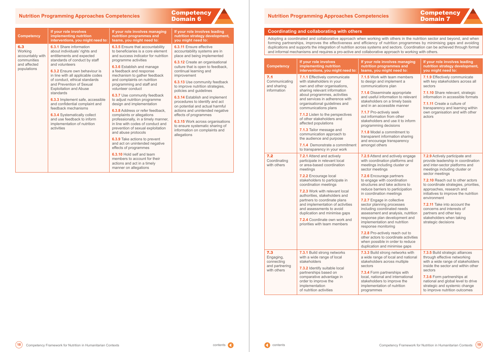#### **Coordinating and collaborating with others**

Adopting a coordinated and collaborative approach when working with others in the nutrition sector and beyond, and when forming partnerships, improves the effectiveness and efficiency of nutrition programmes by minimising gaps and avoiding duplications and supports the integration of nutrition across systems and sectors. Coordination can be achieved through formal and informal mechanisms and requires a pro-active and collaborative approach to working with others.

| <b>Competency</b>                                  | If your role involves<br>implementing nutrition<br>interventions, you might need to:                                                                                                                                                                                                                                                                                                                                                                                                                                                        | If your role involves managing<br>nutrition programmes and<br>teams, you might need to:                                                                  | If your role involves leading<br>nutrition strategy development,<br>you might need to:                                                                                              |
|----------------------------------------------------|---------------------------------------------------------------------------------------------------------------------------------------------------------------------------------------------------------------------------------------------------------------------------------------------------------------------------------------------------------------------------------------------------------------------------------------------------------------------------------------------------------------------------------------------|----------------------------------------------------------------------------------------------------------------------------------------------------------|-------------------------------------------------------------------------------------------------------------------------------------------------------------------------------------|
| 7.1<br>Communicating<br>and sharing<br>information | 7.1.1 Effectively communicate<br>with stakeholders in your<br>own and other organisations,<br>sharing relevant information                                                                                                                                                                                                                                                                                                                                                                                                                  | <b>7.1.5</b> Work with team members<br>to design and implement a<br>communications plan<br>7.1.6 Disseminate appropriate                                 | 7.1.9 Effectively communicate<br>with key stakeholders across all<br>sectors<br>7.1.10 Share relevant, strategic                                                                    |
|                                                    | about programmes, activities<br>and services in adherence with<br>organisational guidelines and<br>communications plans                                                                                                                                                                                                                                                                                                                                                                                                                     | and useful information to relevant<br>stakeholders on a timely basis<br>and in an accessible manner                                                      | information in accessible formats<br>7.1.11 Create a culture of<br>transparency and learning within                                                                                 |
|                                                    | 7.1.2 Listen to the perspectives<br>of other stakeholders and<br>affected populations                                                                                                                                                                                                                                                                                                                                                                                                                                                       | 7.1.7 Pro-actively seek<br>out information from other<br>stakeholders and use it to inform<br>programming decisions                                      | own organisation and with other<br>actors                                                                                                                                           |
|                                                    | 7.1.3 Tailor message and<br>communication approach to<br>the audience and purpose                                                                                                                                                                                                                                                                                                                                                                                                                                                           | <b>7.1.8</b> Model a commitment to<br>transparent information sharing<br>and encourage transparency                                                      |                                                                                                                                                                                     |
|                                                    | 7.1.4 Demonstrate a commitment<br>to transparency in your work                                                                                                                                                                                                                                                                                                                                                                                                                                                                              | amongst others                                                                                                                                           |                                                                                                                                                                                     |
| 7.2<br>Coordinating<br>with others                 | 7.2.1 Attend and actively<br>participate in relevant local<br>or area-based coordination<br>meetings                                                                                                                                                                                                                                                                                                                                                                                                                                        | 7.2.5 Attend and actively engage<br>with coordination platforms and<br>meetings including cluster or<br>sector meetings                                  | 7.2.9 Actively participate and<br>provide leadership in coordination<br>and inter-sector platforms and<br>meetings including cluster or                                             |
|                                                    | 7.2.2 Encourage local<br>7.2.6 Encourage partners<br>stakeholders to participate in<br>to engage with coordination<br>coordination meetings<br>structures and take actions to<br>reduce barriers to participation<br>7.2.3 Work with relevant local<br>in coordination meetings<br>authorities, stakeholders and<br>partners to coordinate plans<br>7.2.7 Engage in collective<br>and implementation of activities<br>sector planning processes<br>and assessments to avoid<br>including coordinated needs<br>duplication and minimise gaps |                                                                                                                                                          | sector meetings<br>7.2.10 Reach out to other actors<br>to coordinate strategies, priorities,<br>approaches, research and<br>initiatives to improve the nutrition                    |
|                                                    |                                                                                                                                                                                                                                                                                                                                                                                                                                                                                                                                             | assessment and analysis, nutrition                                                                                                                       | environment<br>7.2.11 Take into account the<br>concerns and interests of<br>partners and other key                                                                                  |
|                                                    | 7.2.4 Coordinate own work and<br>priorities with team members                                                                                                                                                                                                                                                                                                                                                                                                                                                                               | response plan development and<br>implementation and nutrition<br>response monitoring                                                                     | stakeholders when taking<br>strategic decisions                                                                                                                                     |
|                                                    |                                                                                                                                                                                                                                                                                                                                                                                                                                                                                                                                             | 7.2.8 Pro-actively reach out to<br>other actors to coordinate activities<br>when possible in order to reduce<br>duplication and minimise gaps            |                                                                                                                                                                                     |
| 7.3<br>Engaging,<br>connecting                     | 7.3.1 Build strong networks<br>with a wide range of local<br>stakeholders                                                                                                                                                                                                                                                                                                                                                                                                                                                                   | 7.3.3 Build strong networks with<br>a wide range of local and national<br>stakeholders across multiple                                                   | 7.3.5 Build strategic alliances<br>through effective networking<br>with a wide range of stakeholders                                                                                |
| and partnering<br>with others                      | 7.3.2 Identify suitable local<br>partnerships based on<br>comparative advantage in<br>order to improve the<br>implementation<br>of nutrition activities                                                                                                                                                                                                                                                                                                                                                                                     | sectors<br>7.3.4 Form partnerships with<br>local, national and international<br>stakeholders to improve the<br>implementation of nutrition<br>programmes | inside the sector and within other<br>sectors<br>7.3.6 Form partnerships at<br>national and global level to drive<br>strategic and systemic change<br>to improve nutrition outcomes |



**6.3.5** Ensure that accountability to beneficiaries is a core element and success indicator for nutrition programme activities

**6.3.7** Use community feedback to adjust nutrition programme design and implementation

## <span id="page-10-0"></span>Domain 6 **Nutrition Programming Approaches Competencies**

#### **Competency**

6.3 Working accountably with communities and affected populations

#### **If your role involves implementing nutrition interventions, you might need to:**

**6.3.1** Share information about individuals' rights and entitlements and expected standards of conduct by staff and volunteers

**6.3.2** Ensure own behaviour is in line with all applicable codes of conduct, ethical standards and Prevention of Sexual Exploitation and Abuse standards

**6.3.3** Implement safe, accessible and confidential complaint and feedback mechanisms

**6.3.4** Systematically collect and use feedback to inform implementation of nutrition activities

#### **If your role involves managing nutrition programmes and teams, you might need to:**

**6.3.6** Establish and manage a feedback and response mechanism to gather feedback and complaints on nutrition programming and staff and volunteer conduct

**6.3.8** Address or refer feedback, complaints or allegations

professionally, in a timely manner, in line with codes of conduct and prevention of sexual exploitation and abuse protocols

**6.3.9** Take actions to prevent and act on unintended negative effects of programmes

**6.3.10** Hold self and team members to account for their actions and act in a timely manner on allegations

#### **If your role involves leading nutrition strategy development,**

**Competency** 

#### **you might need to: 6.3.11** Ensure effective

accountability systems are in place and being implemented

**6.3.12** Create an organisational culture that is open to feedback, continual learning and

improvement

**6.3.13** Use community feedback to improve nutrition strategies, policies and guidelines

**6.3.14** Establish and implement procedures to identify and act on potential and actual harmful actions and unintended negative effects of programmes

**6.3.15** Work across organisations to ensure systematic sharing of information on complaints and allegations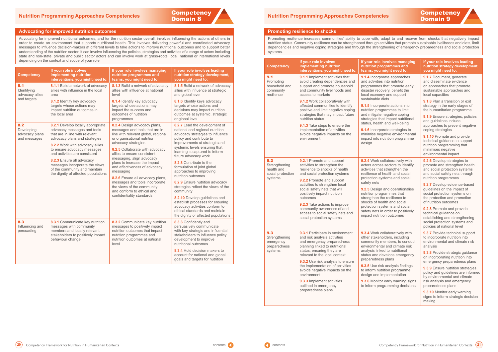

#### <span id="page-11-0"></span>**Advocating for improved nutrition outcomes**

Advocating for improved nutritional outcomes, and for the nutrition sector overall, involves influencing the actions of others in order to create an environment that supports nutritional health. This involves delivering powerful and coordinated advocacy messages to influence decision-makers at different levels to take actions to improve nutritional outcomes and to support better understanding of the nutrition sector. It can involve influencing the policies, strategies and activities of a range of actors including state and non-state, private and public sector actors and can involve work at grass-roots, local, national or international levels depending on the context and scope of your role.

| <b>Competency</b>                                   | If your role involves<br>implementing nutrition<br>interventions, you might need to:                                                                                                                | If your role involves managing<br>nutrition programmes and<br>teams, you might need to:                                                                                   | If your role involves leading<br>nutrition strategy development,<br>you might need to:                                                                                                             |
|-----------------------------------------------------|-----------------------------------------------------------------------------------------------------------------------------------------------------------------------------------------------------|---------------------------------------------------------------------------------------------------------------------------------------------------------------------------|----------------------------------------------------------------------------------------------------------------------------------------------------------------------------------------------------|
| 8.1<br>Identifying<br>advocacy allies               | 8.1.1 Build a network of advocacy<br>allies with influence in the local<br>area                                                                                                                     | 8.1.3 Build a network of advocacy<br>allies with influence at national<br>level                                                                                           | 8.1.5 Build a network of advocacy<br>allies with influence at strategic<br>and global level                                                                                                        |
| and targets                                         | 8.1.2 Identify key advocacy<br>targets whose actions may<br>impact nutrition outcomes in<br>the local area                                                                                          | 8.1.4 Identify key advocacy<br>targets whose actions may<br>impact the success and<br>outcomes of nutrition<br>programmes                                                 | 8.1.6 Identify keys advocacy<br>targets whose actions and<br>decisions may impact nutrition<br>outcomes at systemic, strategic<br>or global level                                                  |
| 8.2<br>Developing<br>advocacy plans<br>and messages | 8.2.1 Develop locally appropriate<br>advocacy messages and tools<br>that are in line with relevant<br>advocacy plans and strategies<br>8.2.2 Work with advocacy allies                              | 8.2.4 Design advocacy plans,<br>messages and tools that are in<br>line with relevant global, regional<br>or organisational nutrition<br>advocacy strategies               | 8.2.7 Lead the development of<br>national and regional nutrition<br>advocacy strategies to influence<br>policy and contribute to<br>improvements at strategic and<br>systemic levels ensuring that |
|                                                     | to ensure advocacy messages<br>and activities are consistent<br>8.2.3 Ensure all advocacy<br>messages incorporate the views<br>of the community and maintain<br>the dignity of affected populations | 8.2.5 Collaborate with advocacy<br>allies to ensure consistent<br>messaging, align advocacy<br>plans to increase the impact<br>and effectiveness of advocacy<br>messaging | learning is captured to inform<br>future advocacy work                                                                                                                                             |
|                                                     |                                                                                                                                                                                                     |                                                                                                                                                                           | 8.2.8 Contribute to the<br>formulation of joint global<br>approaches to improving<br>nutrition outcomes                                                                                            |
|                                                     |                                                                                                                                                                                                     | 8.2.6 Ensure all advocacy plans,<br>messages and tools incorporate<br>the views of the community<br>and conform to ethical and                                            | 8.2.9 Ensure nutrition advocacy<br>strategies reflect the views of the<br>community                                                                                                                |
|                                                     |                                                                                                                                                                                                     | confidentiality standards                                                                                                                                                 | 8.2.10 Develop guidelines and<br>establish processes for ensuring<br>advocacy activities conform to<br>ethical standards and maintain<br>the dignity of affected populations                       |
| 8.3<br>Influencing and<br>persuading                | 8.3.1 Communicate key nutrition<br>messages with community<br>members and locally relevant<br>stakeholders to positively impact<br>behaviour change                                                 | 8.3.2 Communicate key nutrition<br>messages to positively impact<br>nutrition outcomes that impact<br>nutrition programmes and<br>nutrition outcomes at national<br>level | 8.3.3 Confidently and<br>persuasively communicate<br>with key strategic and influential<br>stakeholders to influence policy<br>development to improve<br>nutritional outcomes                      |
|                                                     |                                                                                                                                                                                                     |                                                                                                                                                                           | 8.3.4 Hold decision makers to<br>account for national and global<br>goals and targets for nutrition                                                                                                |

## Domain 9 **Nutrition Programming Approaches Competencies**

#### **Promoting resilience to shocks**

Promoting resilience increases communities' ability to cope with, adapt to and recover from shocks that negatively impact nutrition status. Community resilience can be strengthened through activities that promote sustainable livelihoods and diets, limit dependencies and negative coping strategies and through the strengthening of emergency preparedness and social protection systems.

| <b>Competency</b>                                                  | If your role involves<br>implementing nutrition<br>interventions, you might need to:                                                                                                                                                                                                                                                                                                                                                               | If your role involves managing<br>nutrition programmes and<br>teams, you might need to:                                                                                                                                                                                                                                                                                                                                                                                         | If your role involves leading<br>nutrition strategy development,<br>you might need to:                                                                                                                                                                                                                                                                                                                                                                                                                    |
|--------------------------------------------------------------------|----------------------------------------------------------------------------------------------------------------------------------------------------------------------------------------------------------------------------------------------------------------------------------------------------------------------------------------------------------------------------------------------------------------------------------------------------|---------------------------------------------------------------------------------------------------------------------------------------------------------------------------------------------------------------------------------------------------------------------------------------------------------------------------------------------------------------------------------------------------------------------------------------------------------------------------------|-----------------------------------------------------------------------------------------------------------------------------------------------------------------------------------------------------------------------------------------------------------------------------------------------------------------------------------------------------------------------------------------------------------------------------------------------------------------------------------------------------------|
| 9.1<br>Promoting<br>household and<br>community<br>resilience       | 9.1.1 Implement activities that<br>avoid creating dependencies and<br>support and promote household<br>and community livelihoods and<br>access to markets<br>9.1.2 Work collaboratively with<br>affected communities to identify<br>positive and limit negative coping<br>strategies that may impact future<br>nutrition status<br>9.1.3 Take steps to ensure the<br>implementation of activities<br>avoids negative impacts on the<br>environment | 9.1.4 Incorporate approaches<br>and activities into nutrition<br>programmes that promote early<br>disaster recovery, benefit the<br>local economy and support<br>sustainable diets<br>9.1.5 Incorporate actions into<br>nutrition programmes to limit<br>and mitigate negative coping<br>strategies that impact nutritional<br>status, health and well-being<br>9.1.6 Incorporate strategies to<br>minimise negative environmental<br>impact into nutrition programme<br>design | 9.1.7 Document, generate<br>and disseminate evidence<br>on approaches that promote<br>sustainable approaches and<br>local capacities<br>9.1.8 Plan a transition or exit<br>strategy in the early stages of<br>the humanitarian programme<br>9.1.9 Ensure strategies, policies<br>and guidelines include<br>approaches to prevent negative<br>coping strategies<br>9.1.10 Promote and provide<br>technical guidance to support<br>nutrition programming that<br>minimises negative<br>environmental impact |
| 9.2<br>Strengthening<br>health and<br>social protection<br>systems | 9.2.1 Promote and support<br>activities to strengthen the<br>resilience to shocks of health<br>and social protection systems<br>9.2.2 Promote and support<br>activities to strengthen local<br>social safety nets that will<br>positively impact nutrition<br>outcomes<br>9.2.3 Take actions to improve<br>community awareness of and<br>access to social safety nets and<br>social protection systems                                             | 9.2.4 Work collaboratively with<br>actors across sectors to identify<br>activities that strengthen the<br>resilience of health and social<br>protection systems and social<br>safety nets<br>9.2.5 Design and operationalise<br>nutrition programmes that<br>strengthen the resilience to<br>shocks of health and social<br>protection systems and social<br>safety nets in order to positively<br>impact nutrition outcomes                                                    | 9.2.6 Develop strategies to<br>promote and strengthen health<br>and social protection systems<br>and social safety nets through<br>nutrition programmes<br>9.2.7 Develop evidence-based<br>guidelines on the impact of<br>social protection systems on<br>the protection and promotion<br>of nutrition outcomes<br>9.2.8 Promote and provide<br>technical guidance on<br>establishing and strengthening<br>social protection systems and<br>policies at national level                                    |
| 9.3<br>Strengthening<br>emergency<br>preparedness<br>systems       | 9.3.1 Participate in environment<br>and risk analysis activities<br>and emergency preparedness<br>planning linked to nutritional<br>status, ensuring they are<br>relevant to the local context<br>9.3.2 Use risk analysis to ensure<br>the implementation of activities<br>avoids negative impacts on the<br>environment<br>9.3.3 Implement activities<br>outlined in emergency<br>preparedness plans                                              | 9.3.4 Work collaboratively with<br>other stakeholders, including<br>community members, to conduct<br>environmental and climate risk<br>analysis linked to nutritional<br>status and develops emergency<br>preparedness plans<br>9.3.5 Use risk analysis findings<br>to inform nutrition programme<br>design and implementation<br>9.3.6 Monitor early warning signs<br>to inform programming decisions                                                                          | 9.3.7 Provide technical support<br>to incorporate nutrition into<br>environmental and climate risk<br>analysis<br>9.3.8 Provide strategic guidance<br>on incorporating nutrition into<br>emergency preparedness plans<br>9.3.9 Ensure nutrition strategies,<br>policy and guidelines are informed<br>by environmental and climate<br>risk analysis and emergency<br>preparedness plans<br>9.3.10 Monitor early warning<br>signs to inform strategic decision<br>making                                    |

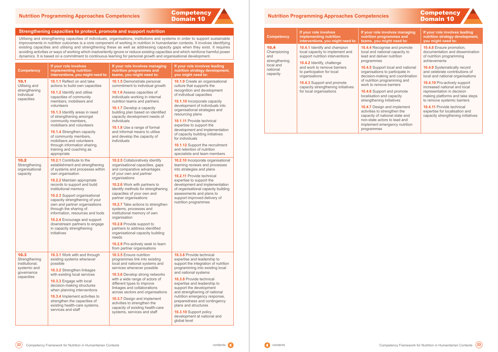

## <span id="page-12-0"></span>Domain 10 **Nutrition Programming Approaches Competencies**

#### **Strengthening capacities to protect, promote and support nutrition**

Utilising and strengthening capacities of individuals, organisations, institutions and systems in order to support sustainable improvements in nutrition outcomes is a core component of working in nutrition in humanitarian contexts. It involves identifying existing capacities and utilising and strengthening these as well as addressing capacity gaps when they exist. It requires avoiding activities or ways of working which inadvertently ignore or reduce existing capacities and which reinforce harmful power dynamics. It is based on a commitment to continuous learning for personal growth and organisational development.

#### **Iole involves managing n** programmes and **teams, you might need to:**

**10.4.4** Recognise and promote d national capacity to d deliver nutrition nmes

**i** upport local and national ations to participate in l-making and coordination on programming and remove barriers

**10.4.6** Support and promote tion and capacity ening initiatives

| <b>Competency</b>                                                                   | If your role involves<br>implementing nutrition<br>interventions, you might need to:                                                                                                                                                                                                                                                                                                                                                                                                            | If your role involves managing<br>nutrition programmes and<br>teams, you might need to:                                                                                                                                                                                                                                                                                                                                                                                                                                                                                                     | If your role involves leading<br>nutrition strategy development,<br>you might need to:                                                                                                                                                                                                                                                                                                                                                                                                                    |
|-------------------------------------------------------------------------------------|-------------------------------------------------------------------------------------------------------------------------------------------------------------------------------------------------------------------------------------------------------------------------------------------------------------------------------------------------------------------------------------------------------------------------------------------------------------------------------------------------|---------------------------------------------------------------------------------------------------------------------------------------------------------------------------------------------------------------------------------------------------------------------------------------------------------------------------------------------------------------------------------------------------------------------------------------------------------------------------------------------------------------------------------------------------------------------------------------------|-----------------------------------------------------------------------------------------------------------------------------------------------------------------------------------------------------------------------------------------------------------------------------------------------------------------------------------------------------------------------------------------------------------------------------------------------------------------------------------------------------------|
| 10.1<br>Utilising and<br>strengthening<br>individual<br>capacities                  | 10.1.1 Reflect on and take<br>actions to build own capacities<br>10.1.2 Identify and utilise<br>capacities of community<br>members, mobilisers and<br>volunteers<br>10.1.3 Identify areas in need<br>of strengthening amongst<br>community members,<br>mobilisers and volunteers<br><b>10.1.4 Strengthen capacity</b><br>of community members,<br>mobilisers and volunteers<br>through information sharing,<br>training and coaching as<br>appropriate                                          | <b>10.1.5</b> Demonstrate personal<br>commitment to individual growth<br>10.1.6 Assess capacities of<br>individuals working in internal<br>nutrition teams and partners<br>10.1.7 Develop a capacity<br>building plan based on identified<br>capacity development needs of<br>individuals<br>10.1.8 Use a range of formal<br>and informal means to utilise<br>and develop the capacity of<br>individuals                                                                                                                                                                                    | 10.1.9 Create an organisational<br>culture that supports the<br>recognition and development<br>of individual capacities<br>10.1.10 Incorporate capacity<br>development of individuals into<br>organisational strategies and<br>resourcing plans<br>10.1.11 Provide technical<br>expertise to support the<br>development and implementation<br>of capacity building initiatives<br>for individuals<br><b>10.1.12</b> Support the recruitment<br>and retention of nutrition<br>specialists and team members |
| 10.2<br>Strengthening<br>organisational<br>capacity                                 | 10.2.1 Contribute to the<br>establishment and strengthening<br>of systems and processes within<br>own organisation<br>10.2.2 Maintain appropriate<br>records to support and build<br>institutional memory<br><b>10.2.3</b> Support organisational<br>capacity strengthening of your<br>own and partner organisations<br>through the sharing of<br>information, resources and tools<br>10.2.4 Encourage and support<br>downstream partners to engage<br>in capacity strengthening<br>initiatives | <b>10.2.5 Collaboratively identify</b><br>organisational capacities, gaps<br>and comparative advantages<br>of your own and partner<br>organisations<br><b>10.2.6</b> Work with partners to<br>identify methods for strengthening<br>capacities of your own and<br>partner organisations<br>10.2.7 Take actions to strengthen<br>systems, processes and<br>institutional memory of own<br>organisation<br><b>10.2.8</b> Provide support to<br>partners to address identified<br>organisational capacity building<br>needs<br>10.2.9 Pro-actively seek to learn<br>from partner organisations | 10.2.10 Incorporate organisational<br>learning reviews and processes<br>into strategies and plans<br><b>10.2.11</b> Provide technical<br>expertise to support the<br>development and implementation<br>of organisational capacity building<br>assessments and plans to<br>support improved delivery of<br>nutrition programmes                                                                                                                                                                            |
| 10.3<br>Strengthening<br>institutional,<br>systemic and<br>governance<br>capacities | 10.3.1 Work with and through<br>existing systems whenever<br>possible<br>10.3.2 Strengthen linkages<br>with existing local services<br>10.3.3 Engage with local<br>decision-making structures<br>when planning interventions<br>10.3.4 Implement activities to<br>strengthen the capacities of<br>existing health-care systems,<br>services and staff                                                                                                                                           | 10.3.5 Ensure nutrition<br>programmes link into existing<br>local and national systems and<br>services whenever possible<br><b>10.3.6 Develop strong networks</b><br>with a wide range of actors of<br>different types to improve<br>linkages and collaborations<br>across sectors and organisations<br><b>10.3.7</b> Design and implement<br>activities to strengthen the<br>capacity of existing health-care<br>systems, services and staff                                                                                                                                               | 10.3.8 Provide technical<br>expertise and leadership to<br>support the integration of nutrition<br>programming into existing local<br>and national systems<br>10.3.9 Provide technical<br>expertise and leadership to<br>support the development<br>and strengthening of national<br>nutrition emergency response,<br>preparedness and contingency<br>plans and structures<br>10.3.10 Support policy<br>development at national and<br>global level                                                       |

**10.4.7** Design and implement s to strengthen the of national state and te actors to lead and ent emergency nutrition mes

## Domain 10 **Nutrition Programming Approaches Competencies**

| <b>Competency</b>                                  | If your role involves<br>implementing nutrition<br>interventions, you might need to:                            | If your r<br>nutrition<br>teams,                                       |  |
|----------------------------------------------------|-----------------------------------------------------------------------------------------------------------------|------------------------------------------------------------------------|--|
| 10.4<br>Championing<br>and                         | <b>10.4.1</b> Identify and champion<br>local capacity to implement and<br>support nutrition interventions       | 10.4.4 R<br>local and<br>lead and                                      |  |
| strengthening<br>local and<br>national<br>capacity | <b>10.4.2</b> Identify, challenge<br>and work to remove barriers<br>to participation for local<br>organisations | program<br>10.4.5 S<br>organisa<br>decision                            |  |
|                                                    | <b>10.4.3</b> Support and promote<br>capacity strengthening initiatives                                         | of nutriti<br>work to i                                                |  |
|                                                    | for local organisations                                                                                         | 10.4.6 S<br>localisat<br>strength                                      |  |
|                                                    |                                                                                                                 | 10.4.7 $D$<br>activities<br>capacity<br>non-stat<br>impleme<br>program |  |

# **Competency**

#### **If your role involves leading nutrition strategy development, you might need to:**

**10.4.8** Ensure promotion, documentation and dissemination of nutrition programming achievements

**10.4.9** Systematically record and celebrate contributions of local and national organisations

**10.4.10** Pro-actively support increased national and local representation in decision making platforms and take steps to remove systemic barriers

**10.4.11** Provide technical expertise for localisation and capacity strengthening initiatives

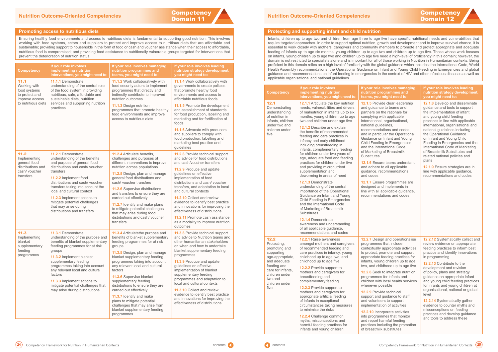

#### <span id="page-13-0"></span>**Promoting access to nutritious diets**

Ensuring healthy food environments and access to nutritious diets is fundamental to supporting good nutrition. This involves working with food systems, actors and suppliers to protect and improve access to nutritious diets that are affordable and sustainable; providing support to households in the form of food or cash and voucher assistance when their access to affordable, nutritious food is compromised; and providing food assistance to nutritionally vulnerable groups targeted for interventions that prevent the deterioration of nutrition status.

| <b>Competency</b>                                                        | If your role involves<br>implementing nutrition<br>interventions, you might need to:                                                                                                                                                                                                                                                                          | If your role involves managing<br>nutrition programmes and<br>teams, you might need to:                                                                                                                                                                                                                                                                             | If your role involves leading<br>nutrition strategy development,<br>you might need to:                                                                                                                                                                                                                                                                        |
|--------------------------------------------------------------------------|---------------------------------------------------------------------------------------------------------------------------------------------------------------------------------------------------------------------------------------------------------------------------------------------------------------------------------------------------------------|---------------------------------------------------------------------------------------------------------------------------------------------------------------------------------------------------------------------------------------------------------------------------------------------------------------------------------------------------------------------|---------------------------------------------------------------------------------------------------------------------------------------------------------------------------------------------------------------------------------------------------------------------------------------------------------------------------------------------------------------|
| 11.1<br>Working with<br>food systems<br>to protect and<br>improve access | 11.1.1 Demonstrate<br>understanding of the central role<br>of the food system in providing<br>nutritious, safe, affordable and<br>sustainable diets, nutrition                                                                                                                                                                                                | <b>11.1.2</b> Work collaboratively with<br>food security actors to implement<br>programmes that directly and<br>indirectly contribute to improved<br>nutrition outcomes                                                                                                                                                                                             | 11.1.4 Work collaboratively with<br>governments to create policies<br>that promote healthy food<br>environments and access to<br>affordable nutritious foods                                                                                                                                                                                                  |
| to nutritious diets                                                      | services and supporting nutrition<br>practices                                                                                                                                                                                                                                                                                                                | 11.1.3 Design nutrition<br>programmes that promote healthy<br>food environments and improve<br>access to nutritious diets                                                                                                                                                                                                                                           | 11.1.5 Promote the development<br>and establishment of standards<br>for food production, labelling and<br>marketing and for fortification of<br>foods                                                                                                                                                                                                         |
|                                                                          |                                                                                                                                                                                                                                                                                                                                                               |                                                                                                                                                                                                                                                                                                                                                                     | 11.1.6 Advocate with producers<br>and suppliers to comply with<br>food production, labelling and<br>marketing best practice and<br>guidelines                                                                                                                                                                                                                 |
| 11.2<br>Implementing<br>general food                                     | 11.2.1 Demonstrate<br>understanding of the benefits<br>and purpose of general food                                                                                                                                                                                                                                                                            | <b>11.2.4</b> Articulate benefits,<br>challenges and purposes of<br>different interventions to improve                                                                                                                                                                                                                                                              | <b>11.2.8</b> Provide technical support<br>and advice for food distributions<br>and cash/voucher transfers                                                                                                                                                                                                                                                    |
| distributions and<br>cash/ voucher<br>transfers                          | distributions and cash/voucher<br>transfers<br>11.2.2 Implement food<br>distributions and cash/ voucher<br>transfers taking into account the<br>local and cultural context<br>11.2.3 Implement actions to<br>mitigate potential challenges<br>that may arise during<br>distributions and transfers                                                            | nutrition across populations<br>11.2.5 Design, plan and manage<br>general food distributions and<br>cash/ voucher transfers<br>11.2.6 Supervise distributions<br>and transfers to ensure they are<br>carried out effectively<br>11.2.7 Identify and make plans<br>to mitigate potential challenges<br>that may arise during food<br>distributions and cash/ voucher | 11.2.9 Produce and update<br>guidelines on effective<br>implementation of food<br>distributions and cash/voucher<br>transfers, and adaptation to local<br>and cultural contexts<br>11.2.10 Collect and review<br>evidence to identify best practice<br>and innovations for improving the<br>effectiveness of distributions<br>11.2.11 Promote cash assistance |
| 11.3                                                                     | 11.3.1 Demonstrate                                                                                                                                                                                                                                                                                                                                            | transfers<br>11.3.4 Articulatethe purpose and                                                                                                                                                                                                                                                                                                                       | as a modality to improve nutrition<br>outcomes<br>11.3.8 Provide technical support                                                                                                                                                                                                                                                                            |
| Implementing<br>blanket<br>supplementary<br>feeding<br>programmes        | understanding of the purpose and<br>benefits of blanket supplementary<br>feeding programmes for at risk<br>groups<br>11.3.2 Implement blanket<br>supplementary feeding<br>programmes taking into account<br>any relevant local and cultural<br>factors<br>11.3.3 Implement actions to<br>mitigate potential challenges that<br>may arise during distributions | benefits of blanket supplementary<br>feeding programmes for at risk<br>groups<br>11.3.5 Design, plan and manage                                                                                                                                                                                                                                                     | and advice to Nutrition teams and<br>other humanitarian stakeholders<br>on when and how to undertake<br>blanket supplementary feeding<br>programmes                                                                                                                                                                                                           |
|                                                                          |                                                                                                                                                                                                                                                                                                                                                               | blanket supplementary feeding<br>programmes taking into account<br>any relevant local and cultural<br>factors                                                                                                                                                                                                                                                       | 11.3.9 Produce and update<br>guidelines on effective<br>implementation of blanket                                                                                                                                                                                                                                                                             |
|                                                                          |                                                                                                                                                                                                                                                                                                                                                               | 11.3.6 Supervise blanket<br>supplementary feeding<br>distributions to ensure they are                                                                                                                                                                                                                                                                               | supplementary feeding<br>programmes and adaptation to<br>local and cultural contexts                                                                                                                                                                                                                                                                          |
|                                                                          |                                                                                                                                                                                                                                                                                                                                                               | carried out effectively<br>11.3.7 Identify and make<br>plans to mitigate potential<br>challenges that may arise from<br>blanket supplementary feeding<br>programmes                                                                                                                                                                                                 | <b>11.3.10 Collect and review</b><br>evidence to identify best practice<br>and innovations for improving the<br>effectiveness of distributions                                                                                                                                                                                                                |

## Domain 12 **Nutrition Outcome-Oriented Competencies**

#### **Protecting and supporting infant and child nutrition**

Infants, children up to age two and children from age three to age five have specific nutritional needs and vulnerabilities that require targeted approaches. In order to support optimal nutrition, growth and development and to improve survival chance, it is essential to work closely with mothers, caregivers and community members to promote and protect appropriate and adequate feeding of infants up to age six months, young children up to age two and children up to age five. Those whose work focuses on infants, young children up to age two and children up to age five need a high-level of proficiency in this domain; however, the domain is not restricted to specialists alone and is important for all of those working in Nutrition in Humanitarian contexts. Being proficient in this domain relies on a high level of familiarity with the global guidance which includes: the International Code, World Health Assembly recommendations, the Operational Guidance on Infant and Young Child Feeding in Emergencies and global guidance and recommendations on infant feeding in emergencies in the context of HIV and other infectious diseases as well as applicable organisational and national guidelines.

# **Competency**



| <b>Competency</b>                                                                                                                                                                 | If your role involves<br>implementing nutrition<br>interventions, you might need to:                                                                                                                                                                                                                                                                                                                                                                                                                                                                                                                                                                                                                                                                                                                                                                                                                                                           | If your role involves managing<br>nutrition programmes and<br>teams, you might need to:                                                                                                                                                                                                                                                                                                                                                                                                                                                                                                                                                                                                 | If your role involves leading<br>nutrition strategy development,<br>you might need to:                                                                                                                                                                                                                                                                                                                                                                                                                                                                                              |
|-----------------------------------------------------------------------------------------------------------------------------------------------------------------------------------|------------------------------------------------------------------------------------------------------------------------------------------------------------------------------------------------------------------------------------------------------------------------------------------------------------------------------------------------------------------------------------------------------------------------------------------------------------------------------------------------------------------------------------------------------------------------------------------------------------------------------------------------------------------------------------------------------------------------------------------------------------------------------------------------------------------------------------------------------------------------------------------------------------------------------------------------|-----------------------------------------------------------------------------------------------------------------------------------------------------------------------------------------------------------------------------------------------------------------------------------------------------------------------------------------------------------------------------------------------------------------------------------------------------------------------------------------------------------------------------------------------------------------------------------------------------------------------------------------------------------------------------------------|-------------------------------------------------------------------------------------------------------------------------------------------------------------------------------------------------------------------------------------------------------------------------------------------------------------------------------------------------------------------------------------------------------------------------------------------------------------------------------------------------------------------------------------------------------------------------------------|
| 12.1<br>Demonstrating<br>understanding<br>of nutrition in<br>infants, children<br>under two and<br>children under<br>five                                                         | 12.1.1 Articulate the key nutrition<br>needs, vulnerabilities and drivers<br>of malnutrition in infants up to six<br>months, young children up to age<br>two and children under age five<br>12.1.2 Describe and explain<br>the benefits of recommended<br>feeding and care practices in<br>infancy and early childhood<br>including breastfeeding in<br>infants, complementary feeding<br>for children under two years of<br>age, adequate food and feeding<br>practices for children under five<br>and providing micronutrient<br>supplementation and<br>deworming in areas of need<br>12.1.3 Demonstrate<br>understanding of the central<br>importance of the Operational<br>Guidance on Infant and Young<br>Child Feeding in Emergencies<br>and the International Code<br>of Marketing of Breastmilk<br>Substitutes<br><b>12.1.4 Demonstrate</b><br>awareness and understanding<br>of all applicable guidance,<br>recommendations and codes | <b>12.1.5</b> Provide clear leadership<br>and guidance to teams and<br>partners on the rationale for<br>complying with applicable<br>international, organisational,<br>national guidelines,<br>recommendations and codes<br>and in particular the Operational<br>Guidance on Infant and Young<br>Child Feeding in Emergencies<br>and the International Code<br>of Marketing of Breastmilk<br><b>Substitutes</b><br>12.1.6 Ensure teams understand<br>and adhere to all applicable<br>guidance, recommendations<br>and codes<br>12.1.7 Ensure programmes are<br>designed and implements in<br>line with all applicable guidance,<br>recommendations and codes                            | 12.1.8 Develop and disseminate<br>guidance and tools to support<br>the implementation of infant<br>and young child feeding<br>practices in line with applicable<br>international, organisational and<br>national guidelines including<br>the Operational Guidance<br>on Infant and Young Child<br>Feeding in Emergencies and the<br>International Code of Marketing<br>of Breastmilk Substitutes and<br>related national policies and<br>plans<br>12.1.9 Ensure strategies are in<br>line with applicable guidance,<br>recommendations and codes                                    |
| 12.2<br>Protecting,<br>promoting and<br>supporting<br>age-appropriate,<br>and adequate<br>feeding and<br>care for infants,<br>children under<br>two and<br>children under<br>five | <b>12.2.1</b> Raise awareness<br>amongst mothers and caregivers<br>of recommended feeding and<br>care practices in infancy, young<br>childhood up to age two, and<br>childhood up to age five<br><b>12.2.2</b> Provide support to<br>mothers and caregivers for<br>breastfeeding and<br>complementary feeding<br>12.2.3 Provide support to<br>mothers and caregivers for<br>appropriate artificial feeding<br>of infants in exceptional<br>circumstances taking measures<br>to minimise the risks<br>12.2.4 Challenge common<br>myths, misconceptions and<br>harmful feeding practices for<br>infants and young children                                                                                                                                                                                                                                                                                                                       | <b>12.2.7</b> Design and operationalise<br>programmes that include<br>contextually appropriate activities<br>to protect, promote and support<br>appropriate feeding practices for<br>infants, young children up to age<br>two, and childhood up to age five<br>12.2.8 Seek to integrate nutrition<br>programmes for infants and<br>children with local health services<br>whenever possible<br>12.2.9 Provide technical<br>support and guidance to staff<br>and volunteers to support<br>implementation of activities<br>12.2.10 Incorporate activities<br>into programmes that monitor<br>and report harmful feeding<br>practices including the promotion<br>of breastmilk substitutes | 12.2.12 Systematically collect and<br>review evidence on appropriate<br>feeding practices to inform best<br>practice and identify innovations<br>in programming<br>12.2.13 Contribute to the<br>development and revision<br>of policy, plans and strategy<br>guidance on appropriate infant<br>and young child feeding practices<br>for infants and young children at<br>organisational, national or global<br>level<br>12.2.14 Systematically gather<br>evidence to counter myths and<br>misconceptions on feeding<br>practices and develop guidance<br>and tools to address these |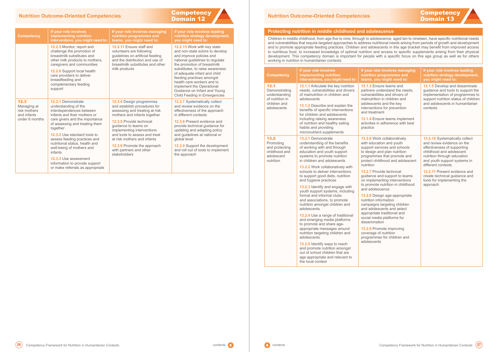#### <span id="page-14-0"></span>**Nutrition Outcome-Oriented Competencies**

| <b>Competency</b> |  |
|-------------------|--|
| Domain 12         |  |

|  | <b>Competency</b>                                                      | If your role involves<br>implementing nutrition<br>interventions, you might need to:                                                                                                                                                                                 | If your role involves managing<br>nutrition programmes and<br>teams, you might need to:                                                                         | If your role involves leading<br>nutrition strategy development,<br>you might need to:                                                                                                                                  |
|--|------------------------------------------------------------------------|----------------------------------------------------------------------------------------------------------------------------------------------------------------------------------------------------------------------------------------------------------------------|-----------------------------------------------------------------------------------------------------------------------------------------------------------------|-------------------------------------------------------------------------------------------------------------------------------------------------------------------------------------------------------------------------|
|  |                                                                        | <b>12.2.5</b> Monitor, report and<br>challenge the promotion of<br>breastmilk substitutes and<br>other milk products to mothers,<br>caregivers and communities                                                                                                       | 12.2.11 Ensure staff and<br>volunteers are following<br>guidelines on artificial feeding<br>and the distribution and use of<br>breastmilk substitutes and other | <b>12.2.15</b> Work with key state<br>and non-state actors to develop<br>and improve policies and<br>national guidelines to regulate<br>the promotion of breastmilk                                                     |
|  |                                                                        | <b>12.2.6 Support local health</b><br>care providers to deliver<br>breastfeeding and<br>complementary feeding<br>support                                                                                                                                             | milk products                                                                                                                                                   | substitutes, to raise awareness<br>of adequate infant and child<br>feeding practices amongst<br>health care workers and to<br>implement the Operational<br>Guidance on Infant and Young<br>Child Feeding in Emergencies |
|  | 12.3<br>Managing at<br>risk mothers<br>and infants<br>under 6 months   | <b>12.3.1 Demonstrate</b><br>understanding of the<br>interdependences between<br>infants and their mothers or<br>care givers and the importance<br>of assessing and treating them<br>together<br><b>12.3.2</b> Use standard tools to<br>assess feeding practices and | 12.3.4 Design programmes<br>and establish procedures for<br>assessing and treating at risk<br>mothers and infants together                                      | <b>12.3.7 Systematically collect</b><br>and review evidence on the<br>effectiveness of the approach<br>in different contexts                                                                                            |
|  |                                                                        |                                                                                                                                                                                                                                                                      | <b>12.3.5 Provide technical</b><br>guidance to teams on<br>implementing interventions                                                                           | <b>12.3.8 Present evidence and</b><br>provide technical guidance for<br>updating and adapting policy                                                                                                                    |
|  |                                                                        |                                                                                                                                                                                                                                                                      | and tools to assess and treat<br>at risk mothers and infants                                                                                                    | and guidelines at national or<br>global level                                                                                                                                                                           |
|  | nutritional status, health and<br>well-being of mothers and<br>infants | 12.3.6 Promote the approach<br>with partners and other<br>stakeholders                                                                                                                                                                                               | 12.3.9 Support the development<br>and roll out of tools to implement<br>the approach                                                                            |                                                                                                                                                                                                                         |
|  |                                                                        | 12.3.3 Use assessment<br>information to provide support<br>or make referrals as appropriate                                                                                                                                                                          |                                                                                                                                                                 |                                                                                                                                                                                                                         |

## Domain 13 **Nutrition Outcome-Oriented Competencies**

#### **Protecting nutrition in middle childhood and adolescence**

Children in middle childhood, from age five to nine, through to adolescence, aged ten to nineteen, have specific nutritional needs and vulnerabilities that require targeted approaches to address nutritional needs arising from periods of growth and development and to promote appropriate feeding practices. Children and adolescents in this age bracket may benefit from improved access to nutritious food, to increased knowledge of optimal nutrition and access to specific supplements arising from their physical development. This competency domain is important for people with a specific focus on this age group as well as for others working in nutrition in humanitarian contexts.

| <b>Competency</b>                                                                        | If your role involves<br>implementing nutrition<br>interventions, you might need to:                                                                                                                                                                                                                                                                                                                                                                                                                                                                                                                                                                                           | If your role involves managing<br>nutrition programmes and<br>teams, you might need to:                                                                                                                                                                                                                                                                                                                                                                            | If your role involves leading<br>nutrition strategy development,<br>you might need to:                                                                                                                       |
|------------------------------------------------------------------------------------------|--------------------------------------------------------------------------------------------------------------------------------------------------------------------------------------------------------------------------------------------------------------------------------------------------------------------------------------------------------------------------------------------------------------------------------------------------------------------------------------------------------------------------------------------------------------------------------------------------------------------------------------------------------------------------------|--------------------------------------------------------------------------------------------------------------------------------------------------------------------------------------------------------------------------------------------------------------------------------------------------------------------------------------------------------------------------------------------------------------------------------------------------------------------|--------------------------------------------------------------------------------------------------------------------------------------------------------------------------------------------------------------|
| 13.1<br>Demonstrating<br>understanding<br>of nutrition in<br>children and<br>adolescents | 13.1.1 Articulate the key nutrition<br>needs, vulnerabilities and drivers<br>of malnutrition in children and<br>adolescents<br>13.1.2 Describe and explain the<br>benefits of specific interventions                                                                                                                                                                                                                                                                                                                                                                                                                                                                           | 13.1.3 Ensure teams and<br>partners understand the needs,<br>vulnerabilities and drivers of<br>malnutrition in children and<br>adolescents and the key<br>interventions for prevention<br>and treatment                                                                                                                                                                                                                                                            | 13.1.5 Develop and disseminate<br>guidance and tools to support the<br>implementation of programmes to<br>support nutrition status of children<br>and adolescents in humanitarian<br>contexts                |
|                                                                                          | for children and adolescents<br>including raising awareness<br>of nutrition and healthy eating<br>habits and providing<br>micronutrient supplements                                                                                                                                                                                                                                                                                                                                                                                                                                                                                                                            | 13.1.4 Ensure teams implement<br>activities in adherence with best<br>practice                                                                                                                                                                                                                                                                                                                                                                                     |                                                                                                                                                                                                              |
| 13.2<br>Promoting<br>and protecting<br>childhood and<br>adolescent<br>nutrition          | 13.2.1 Demonstrate<br>understanding of the benefits<br>of working with and through<br>education and youth support<br>systems to promote nutrition<br>in children and adolescents                                                                                                                                                                                                                                                                                                                                                                                                                                                                                               | 13.2.6 Work collaboratively<br>with education and youth<br>support services and schools<br>to design and plan nutrition<br>programmes that promote and<br>protect childhood and adolescent<br>nutrition                                                                                                                                                                                                                                                            | 13.2.10 Systematically collect<br>and review evidence on the<br>effectiveness of supporting<br>childhood and adolescent<br>nutrition through education<br>and youth support systems in<br>different contexts |
|                                                                                          | <b>13.2.2</b> Work collaboratively with<br>schools to deliver interventions<br>to support good diets, nutrition<br>and hygiene practices<br>13.2.3 Identify and engage with<br>youth support systems, including<br>formal and informal clubs<br>and associations, to promote<br>nutrition amongst children and<br>adolescents<br>13.2.4 Use a range of traditional<br>and emerging media platforms<br>to promote and share age-<br>appropriate messages around<br>nutrition targeting children and<br>adolescents<br>13.2.5 Identify ways to reach<br>and promote nutrition amongst<br>out of school children that are<br>age appropriate and relevant to<br>the local context | <b>13.2.7 Provide technical</b><br>guidance and support to teams<br>on implementing interventions<br>to promote nutrition in childhood<br>and adolescence<br>13.2.8 Design age-appropriate<br>nutrition information<br>campaigns targeting children<br>and adolescents and select<br>appropriate traditional and<br>social media platforms for<br>dissemination<br>13.2.9 Promote improving<br>coverage of nutrition<br>programmes for children and<br>adolescents | <b>13.2.11 Present evidence and</b><br>create technical guidance and<br>tools for implementing the<br>approach                                                                                               |

# **Competency**

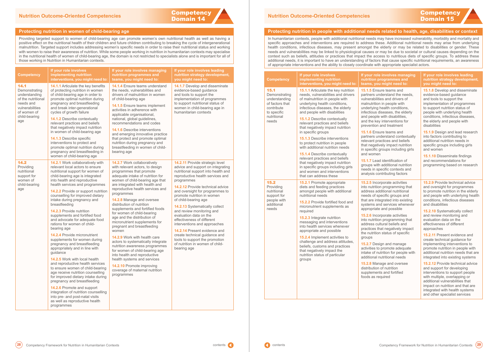# **Competency**

#### <span id="page-15-0"></span>**Protecting nutrition in women of child-bearing age**

Providing targeted support to women of child-bearing age can promote women's own nutritional health as well as having a positive effect on the nutritional health of their children and future children contributing to breaking the cycle of intergenerational malnutrition. Targeted support includes addressing women's specific needs in order to raise their nutritional status and working with women to raise their awareness of nutrition. While some people working in nutrition in humanitarian contexts may specialise in the nutritional health of women of child-bearing age, the domain is not restricted to specialists alone and is important for all of those working in Nutrition in Humanitarian contexts.

| <b>Competency</b>                                                                                                                   | If your role involves<br>implementing nutrition<br>interventions, you might need to:                                                                                                                                                                                                                                                                                                                                                                                                                                                                                                                                                                                                                                                                                                                                                                                                                                                                                                                                                | If your role involves managing<br>nutrition programmes and<br>teams, you might need to:                                                                                                                                                                                                                                                                                                                                                                                                                                                                                                                                                                                                                                                                                      | If your role involves leading<br>nutrition strategy development,<br>you might need to:                                                                                                                                                                                                                                                                                                                                                                                                                                                                                                                               |
|-------------------------------------------------------------------------------------------------------------------------------------|-------------------------------------------------------------------------------------------------------------------------------------------------------------------------------------------------------------------------------------------------------------------------------------------------------------------------------------------------------------------------------------------------------------------------------------------------------------------------------------------------------------------------------------------------------------------------------------------------------------------------------------------------------------------------------------------------------------------------------------------------------------------------------------------------------------------------------------------------------------------------------------------------------------------------------------------------------------------------------------------------------------------------------------|------------------------------------------------------------------------------------------------------------------------------------------------------------------------------------------------------------------------------------------------------------------------------------------------------------------------------------------------------------------------------------------------------------------------------------------------------------------------------------------------------------------------------------------------------------------------------------------------------------------------------------------------------------------------------------------------------------------------------------------------------------------------------|----------------------------------------------------------------------------------------------------------------------------------------------------------------------------------------------------------------------------------------------------------------------------------------------------------------------------------------------------------------------------------------------------------------------------------------------------------------------------------------------------------------------------------------------------------------------------------------------------------------------|
| 14.1<br>Demonstrating<br>understanding<br>of the nutritional<br>needs and<br>vulnerabilities<br>of women of<br>child-bearing<br>age | 14.1.1 Articulate the key benefits<br>of protecting nutrition in women<br>of child-bearing age in order to<br>promote optimal nutrition during<br>pregnancy and breastfeeding<br>and break inter-generational<br>cycles of growth failure<br><b>14.1.2 Describe contextually</b><br>relevant practices and beliefs<br>that negatively impact nutrition<br>in women of child-bearing age<br><b>14.1.3 Describe specific</b><br>interventions to protect and<br>promote optimal nutrition during<br>pregnancy and breastfeeding in<br>women of child-bearing age                                                                                                                                                                                                                                                                                                                                                                                                                                                                      | <b>14.1.4</b> Ensure teams understand<br>the needs, vulnerabilities and<br>drivers of malnutrition in women<br>of child-bearing age<br><b>14.1.5</b> Ensure teams implement<br>activities in adherence with<br>applicable organisational,<br>national, global guidelines,<br>recommendations and codes<br><b>14.1.6</b> Describe interventions<br>and emerging innovative practice<br>that protect and promote optimal<br>nutrition during pregnancy and<br>breastfeeding in women of child-<br>bearing age                                                                                                                                                                                                                                                                  | 14.1.7 Develop and disseminate<br>evidence-based guidance<br>and tools to support the<br>implementation of programmes<br>to support nutritional status of<br>women in child-bearing age in<br>humanitarian contexts                                                                                                                                                                                                                                                                                                                                                                                                  |
| 14.2<br>Providing<br>nutritional<br>support for<br>women of<br>child-bearing<br>age                                                 | 14.2.1 Work collaboratively with<br>relevant local actors to ensure<br>nutritional support for women of<br>child-bearing age is integrated<br>into health and reproductive<br>health services and programmes<br>14.2.2 Provide or support nutrition<br>counselling for improved dietary<br>intake during pregnancy and<br>breastfeeding<br><b>14.2.3 Provide nutrition</b><br>supplements and fortified food<br>and advocate for adequate food<br>rations for women of child-<br>bearing age<br><b>14.2.4 Provide micronutrient</b><br>supplements for women during<br>pregnancy and breastfeeding<br>appropriately and in line with<br>guidance<br>14.2.5 Work with local health<br>and reproductive health services<br>to ensure women of child-bearing<br>age receive nutrition counselling<br>for improved dietary intake during<br>pregnancy and breastfeeding<br><b>14.2.6 Promote and support</b><br>integration of nutrition counselling<br>into pre- and post-natal visits<br>as well as reproductive health<br>programmes | 14.2.7 Work collaboratively<br>with relevant actors, to design<br>programmes that promote<br>adequate intake of nutrition for<br>women of child-bearing age that<br>are integrated with health and<br>reproductive health services and<br>programmes<br>14.2.8 Manage and oversee<br>distribution of nutrition<br>supplements and fortified foods<br>for women of child-bearing<br>age and the distribution of<br>micronutrient supplements for<br>pregnant and breastfeeding<br>women<br>14.2.9 Work with health care<br>actors to systematically integrate<br>nutrition awareness programmes<br>for women of child-bearing age<br>into health and reproductive<br>health systems and services<br>14.2.10 Promote improving<br>coverage of maternal nutrition<br>programmes | 14.2.11 Provide strategic level<br>advice and support on integrating<br>nutritional support into health and<br>reproductive health services and<br>programmes<br><b>14.2.12</b> Provide technical advice<br>and oversight for programmes to<br>promote nutrition in women<br>of child-bearing age<br>14.2.13 Systematically collect<br>and review monitoring and<br>evaluation data on the<br>effectiveness of different<br>interventions and approaches<br><b>14.2.14 Present evidence and</b><br>create technical guidance and<br>tools to support the promotion<br>of nutrition in women of child-<br>bearing age |

# **Competency**

#### **Ie involves managing nutrition programmes and u** might need to:

**15.1.5** Ensure teams and understand the needs. vilities and drivers of tion in people with ng health conditions, is diseases, the elderly ple with disabilities, key interventions for on and treatment

**15.1.6** Ensure teams and understand contextually practices and beliefs atively impact nutrition fic groups including girls nen

**15.1.7** Lead identification of with additional nutrition n specific contexts and contributing factors

**15.2.5** Incorporate activities ition programming that additional nutritional f specific groups and integrated into existing and services whenever ate and possible

**15.2.6** Incorporate activities ition programming that cultural beliefs and s that negatively impact tion status of specific

**15.2.7** Design and manage to promote adequate f nutrition for people with al nutritional needs

**15.2.8** Manage and oversee ion of nutrition ents and fortified s required

## Domain 15 **Nutrition Outcome-Oriented Competencies**

#### **Protecting nutrition in people with additional needs related to health, age, disabilities or context**

In humanitarian contexts, people with additional nutritional needs may have increased vulnerability, morbidity and mortality and specific approaches and interventions are required to address these. Additional nutritional needs may arise from underlying health conditions, infectious diseases, may present amongst the elderly or may be related to disabilities or gender. These needs and vulnerabilities may be linked to physiological causes or may be due to societal or cultural causes depending on the context such as beliefs, attitudes or practices that impact the access to nutritious diets of specific groups. To address these additional needs, it is important to have an understanding of factors that cause specific nutritional requirements, an awareness of appropriate interventions and the ability to closely coordinate with appropriate specialist actors.

| <b>Competency</b>                                                                      | If your role involves<br>implementing nutrition<br>interventions, you might need to:                                                                                                                             | <b>If your re</b><br>nutrition<br>teams, y                               |  |
|----------------------------------------------------------------------------------------|------------------------------------------------------------------------------------------------------------------------------------------------------------------------------------------------------------------|--------------------------------------------------------------------------|--|
| 15.1<br>Demonstrating<br>understanding<br>of factors that<br>contribute<br>to specific | 15.1.1 Articulate the key nutrition<br>needs, vulnerabilities and drivers<br>of malnutrition in people with<br>underlying health conditions,<br>infectious diseases, the elderly<br>and people with disabilities | 15.1.5 E<br>partners<br>vulnerab<br>malnutrit<br>underlyir<br>infectious |  |
| nutritional<br>needs                                                                   | <b>15.1.2</b> Describe contextually<br>relevant practices and beliefs<br>that negatively impact nutrition<br>in specific groups                                                                                  | and peop<br>and the k<br>preventio<br>15.1.6 E                           |  |
|                                                                                        | <b>15.1.3</b> Describe interventions<br>to protect nutrition in people<br>with additional nutrition needs                                                                                                        | partners<br>relevant<br>that nega<br>in specifi                          |  |
|                                                                                        | <b>15.1.4 Describe contextually</b><br>relevant practices and beliefs<br>that negatively impact nutrition<br>in specific groups including girls<br>and women and interventions<br>that can address these         | and wom<br>15.1.7 Le<br>groups w<br>needs in<br>analysis                 |  |
| 15.2<br>Providing<br>nutritional<br>support for                                        | 15.2.1 Promote appropriate<br>diets and feeding practices<br>amongst people with additional<br>nutritional needs                                                                                                 | 15.2.5 In<br>into nutri<br>address<br>needs of                           |  |
| people with<br>additional<br>needs                                                     | 15.2.2 Provide fortified food and<br>micronutrient supplements as<br>required                                                                                                                                    | that are i<br>systems<br>appropria                                       |  |
|                                                                                        | <b>15.2.3</b> Integrate nutrition<br>messaging and interventions<br>into health services whenever<br>appropriate and possible                                                                                    | 15.2.6 In<br>into nutri<br>address<br>practices<br>the nutrit            |  |
|                                                                                        | 15.2.4 Implement activities to<br>challenge and address attitudes,<br>beliefs, customs and practices<br>that negatively impact the<br>nutrition status of particular<br>groups                                   | groups<br>15.2.7 D<br>activities<br>intake of<br>additiona               |  |
|                                                                                        |                                                                                                                                                                                                                  | 15.2.8 M<br>distributio<br>supplem<br>foods as                           |  |

#### **If your role involves leading nutrition strategy development, you might need to:**

**15.1.8** Develop and disseminate evidence-based guidance and tools to support the implementation of programmes to support nutrition status of people with underlying health conditions, infectious diseases, the elderly and people with disabilities

**15.1.9** Design and lead research into factors contributing to additional nutrition needs in specific groups including girls and women

**15.1.10** Disseminate findings and recommendations for programming based on research

**15.2.9** Provide technical advice and oversight for programmes to promote nutrition in the elderly and people with underlying health conditions, infectious diseases and disabilities

**15.2.10** Systematically collect and review monitoring and evaluation data on the effectiveness of different approaches

**15.2.11** Present evidence and create technical guidance for implementing interventions to promote nutrition in people with additional nutrition needs that are integrated into existing systems

**15.2.12** Provide technical advice and support for developing interventions to support people with multiple, overlapping or additional vulnerabilities that impact on nutrition and that are integrated with health systems and other specialist services

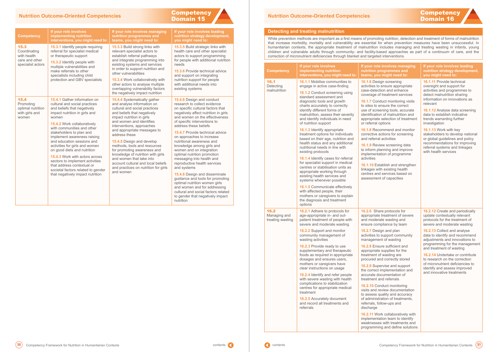| <b>Competency</b>                        | If your role involves<br>implementing nutrition<br>interventions, you might need to:                                                                                                                                                                                                                                                                                                                                                                                                                                                                                                                                                                                                                                                                                                                                                                                                               | If your role involves managing<br>nutrition programmes and<br>teams, you might need to:                                                                                                                                                                                                                                                                                                                                                                                                                                                                                                                                                                                                                                                                                                                   | If your role involves leading<br>nutrition strategy development,<br>you might need to:                                                                                                                                                                                                                                                                                                                                                                                                     |
|------------------------------------------|----------------------------------------------------------------------------------------------------------------------------------------------------------------------------------------------------------------------------------------------------------------------------------------------------------------------------------------------------------------------------------------------------------------------------------------------------------------------------------------------------------------------------------------------------------------------------------------------------------------------------------------------------------------------------------------------------------------------------------------------------------------------------------------------------------------------------------------------------------------------------------------------------|-----------------------------------------------------------------------------------------------------------------------------------------------------------------------------------------------------------------------------------------------------------------------------------------------------------------------------------------------------------------------------------------------------------------------------------------------------------------------------------------------------------------------------------------------------------------------------------------------------------------------------------------------------------------------------------------------------------------------------------------------------------------------------------------------------------|--------------------------------------------------------------------------------------------------------------------------------------------------------------------------------------------------------------------------------------------------------------------------------------------------------------------------------------------------------------------------------------------------------------------------------------------------------------------------------------------|
| 16.1<br>Detecting<br>malnutrition        | <b>16.1.1</b> Mobilise communities to<br>engage in active case-finding<br>16.1.2 Conduct screening using<br>standard assessment and<br>diagnostic tools and growth<br>charts accurately to correctly<br>identify different forms of<br>malnutrition, assess their severity<br>and identify individuals in need<br>of nutrition support<br><b>16.1.3 Identify appropriate</b><br>treatment options for individuals<br>based on their age, nutrition and<br>health status and any additional<br>nutritional needs in line with<br>existing protocols<br>16.1.4 Identify cases for referral<br>for specialist support in medical<br>centres or stabilisation units as<br>appropriate working through<br>existing health services and<br>systems whenever possible<br>16.1.5 Communicate effectively<br>with affected people, their<br>mothers or caregivers to explain<br>the diagnosis and treatment | 16.1.6 Design screening<br>activities to ensure appropriate<br>case-detection and enhance<br>coverage of treatment services<br><b>16.1.7</b> Conduct monitoring visits<br>to sites to ensure the correct<br>use of screening tools, accurate<br>identification of malnutrition and<br>appropriate selection of treatment<br>or referral options<br>16.1.8 Recommend and monitor<br>corrective actions for screening<br>and referral activities<br><b>16.1.9</b> Review screening data<br>to inform planning and improve<br>implementation of programme<br>activities<br>16.1.10 Establish and strengthen<br>linkages with existing health<br>centres and services based on<br>assessment of capacities                                                                                                    | <b>16.1.11</b> Provide technical<br>oversight and support for<br>activities and programmes to<br>detect malnutrition sharing<br>information on innovations as<br>relevant<br><b>16.1.12</b> Analyse data screening<br>data to establish indicative<br>trends warranting further<br>investigation<br>16.1.13 Work with key<br>stakeholders to develop national<br>or global guidelines and policy<br>recommendations for improving<br>referral systems and linkages<br>with health services |
| 16.2<br>Managing and<br>treating wasting | options<br>16.2.1 Adhere to protocols for<br>age-appropriate in- and out-<br>patient treatment of people with<br>severe and moderate wasting<br>16.2.2 Support and monitor<br>community management of<br>wasting activities<br>16.2.3 Provide ready to use<br>supplementary and therapeutic<br>foods as required in appropriate<br>dosages and ensures users,<br>mothers or caregivers have<br>clear instructions on usage<br>16.2.4 Identify and refer people<br>with severe wasting with health<br>complications to stabilization<br>centres for appropriate medical<br>treatment<br>16.2.5 Accurately document<br>and record all treatments and<br>referrals                                                                                                                                                                                                                                    | 16.2.6 Share protocols for<br>appropriate treatment of severe<br>and moderate wasting and<br>ensure compliance by team<br>16.2.7 Design and plan<br>activities to support community<br>management of wasting<br>16.2.8 Ensure sufficient and<br>appropriate supplies for the<br>treatment of wasting are<br>procured and correctly stored<br><b>16.2.9</b> Supervise and support<br>the correct implementation and<br>accurate documentation of<br>treatment and referrals<br>16.2.10 Conduct monitoring<br>visits and review documentation<br>to assess quality and accuracy<br>of administration of treatments,<br>referrals, follow-ups and<br>discharge<br>16.2.11 Work collaboratively with<br>implementation team to identify<br>weaknesses with treatments and<br>programming and define solutions | 16.2.12 Create and periodically<br>update contextually relevant<br>protocols for the treatment of<br>severe and moderate wasting<br>16.2.13 Collect and analyse<br>data to identify and recommend<br>adjustments and innovations to<br>programming for the management<br>and treatment of wasting<br><b>16.2.14 Undertake or contribute</b><br>to research on the correction<br>of micronutrient deficiencies to<br>identify and assess improved<br>and innovative treatments              |

# **Competency**<br>**Domain 16**



#### <span id="page-16-0"></span>**Nutrition Outcome-Oriented Competencies**

| <b>Competency</b>                                                 | If your role involves<br><b>implementing nutrition</b><br>interventions, you might need to:                                                                                                                                                                                                                                                                                                                                                                                                                                                       | If your role involves managing<br>nutrition programmes and<br>teams, you might need to:                                                                                                                                                                                                                                                                                                                                                                                                                                         | If your role involves leading<br>nutrition strategy development,<br>you might need to:                                                                                                                                                                                                                                                                                                                                                                                                                                                                                                                                                                                                                                                  |  | <b>Det</b><br>Whil<br>that         |
|-------------------------------------------------------------------|---------------------------------------------------------------------------------------------------------------------------------------------------------------------------------------------------------------------------------------------------------------------------------------------------------------------------------------------------------------------------------------------------------------------------------------------------------------------------------------------------------------------------------------------------|---------------------------------------------------------------------------------------------------------------------------------------------------------------------------------------------------------------------------------------------------------------------------------------------------------------------------------------------------------------------------------------------------------------------------------------------------------------------------------------------------------------------------------|-----------------------------------------------------------------------------------------------------------------------------------------------------------------------------------------------------------------------------------------------------------------------------------------------------------------------------------------------------------------------------------------------------------------------------------------------------------------------------------------------------------------------------------------------------------------------------------------------------------------------------------------------------------------------------------------------------------------------------------------|--|------------------------------------|
| 15.3<br>Coordinating<br>with health<br>care and other             | 15.3.1 Identify people requiring<br>referral for specialist medical<br>or therapeutic support<br>15.3.2 Identify people with                                                                                                                                                                                                                                                                                                                                                                                                                      | <b>15.3.3 Build strong links with</b><br>relevant specialist actors to<br>establish referral pathways<br>and integrate programming into                                                                                                                                                                                                                                                                                                                                                                                         | <b>15.3.5 Build strategic links with</b><br>health care and other specialist<br>actors to support programming<br>for people with additional nutrition                                                                                                                                                                                                                                                                                                                                                                                                                                                                                                                                                                                   |  | hum<br>child<br><b>COLL</b><br>Com |
| specialist actors                                                 | multiple vulnerabilities and<br>make referrals to other<br>specialists including child                                                                                                                                                                                                                                                                                                                                                                                                                                                            | existing systems and services<br>in order to support nutrition and<br>other vulnerabilities                                                                                                                                                                                                                                                                                                                                                                                                                                     | needs<br><b>15.3.6 Provide technical advice</b><br>and support on integrating                                                                                                                                                                                                                                                                                                                                                                                                                                                                                                                                                                                                                                                           |  |                                    |
|                                                                   | protection and GBV specialists                                                                                                                                                                                                                                                                                                                                                                                                                                                                                                                    | <b>15.3.4 Work collaboratively with</b><br>other actors to analyse multiple<br>overlapping vulnerability factors<br>the negatively impact nutrition                                                                                                                                                                                                                                                                                                                                                                             | nutrition support for people<br>with additional needs into<br>existing systems                                                                                                                                                                                                                                                                                                                                                                                                                                                                                                                                                                                                                                                          |  | 16.1<br><b>Deter</b><br>maln       |
| 15.4<br>Promoting<br>optimal nutrition<br>with girls and<br>women | 15.4.1 Gather information on<br>cultural and social practices<br>and beliefs that negatively<br>impact nutrition in girls and<br>women<br>15.4.2 Work collaboratively<br>with communities and other<br>stakeholders to plan and<br>implement awareness raising<br>and education sessions and<br>activities for girls and women<br>on good diets and nutrition<br><b>15.4.3 Work with actors across</b><br>sectors to implement activities<br>that address contextual or<br>societal factors related to gender<br>that negatively impact nutrition | <b>15.4.4 Systematically gather</b><br>and analyse information on<br>cultural and social practices<br>and beliefs that negatively<br>impact nutrition in girls<br>and women and identifies<br>interventions, approaches<br>and appropriate messages to<br>address these<br>15.4.5 Design and develop<br>methods, tools and resources<br>for promoting awareness and<br>knowledge of nutrition with girls<br>and women that take into<br>account cultural and local beliefs<br>and practices on nutrition for girls<br>and women | 15.4.6 Design and conduct<br>research to collect evidence<br>on specific cultural factors that<br>negatively affect nutrition in girls<br>and women on the effectiveness<br>of specific interventions to<br>address these beliefs<br><b>15.4.7 Provide technical advice</b><br>on approaches to increase<br>nutritional awareness and<br>knowledge among girls and<br>women and on integration<br>optimal nutrition promotion<br>messaging into health and<br>reproductive health services<br>and systems<br>15.4.8 Design and disseminate<br>guidance and tools for promoting<br>optimal nutrition women girls<br>and women and for addressing<br>cultural and social factors related<br>to gender that negatively impact<br>nutrition |  |                                    |

**Competency**<br>**Domain 15** 

#### **Nutrition Outcome-Oriented Competencies**

#### **<u>Recting and treating malnutrition</u>**

ile prevention methods are important as a first means of promoting nutrition, detection and treatment of forms of malnutrition tincrease morbidity, mortality and vulnerability are essential for when prevention measures have been unsuccessful. In hanitarian contexts, the appropriate treatment of malnutrition includes managing and treating wasting in infants, young Idren and vulnerable adults through community- and facility-based approaches as part of a continuum of care, and the rection of micronutrient deficiencies through blanket and targeted interventions.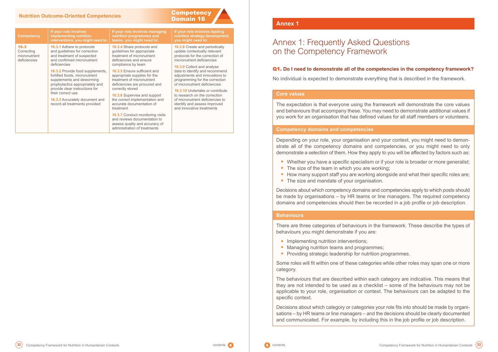## <span id="page-17-0"></span>Domain 16 **Nutrition Outcome-Oriented Competencies**

micronutrient deficiencies

#### **Competency** 16.3 **Correcting If your role involves implementing nutrition interventions, you might need to: teams, you might need to: 16.3.1** Adhere to protocols

and guidelines for correction and treatment of suspected and confirmed micronutrient deficiencies

**16.3.2** Provide food supplements, fortified foods, micronutrient supplements and deworming prophylactics appropriately and provide clear instructions for their correct use

**16.3.3** Accurately document and record all treatments provided

### **If your role involves managing nutrition programmes and**

**16.3.4** Share protocols and guidelines for appropriate treatment of micronutrient deficiencies and ensure compliance by team

**16.3.5** Ensure sufficient and appropriate supplies for the treatment of micronutrient deficiencies are procured and correctly stored

**16.3.6** Supervise and support the correct implementation and accurate documentation of treatment

**16.3.7** Conduct monitoring visits and reviews documentation to assess quality and accuracy of administration of treatments

**Competency** 

**If your role involves leading nutrition strategy development, you might need to:**

**16.3.8** Create and periodically update contextually relevant protocols for the correction of micronutrient deficiencies

**16.3.9** Collect and analyse data to identify and recommend adjustments and innovations to programming for the correction of micronutrient deficiencies

**16.3.10** Undertake or contribute to research on the correction of micronutrient deficiencies to identify and assess improved and innovative treatments

#### **Annex 1**

# Annex 1: Frequently Asked Questions on the Competency Framework

### Q1. **Do I need to demonstrate all of the competencies in the competency framework?**

No individual is expected to demonstrate everything that is described in the framework.

#### **Core values**

The expectation is that everyone using the framework will demonstrate the core values and behaviours that accompany these. You may need to demonstrate additional values if you work for an organisation that has defined values for all staff members or volunteers.

#### **Competency domains and competencies**

Depending on your role, your organisation and your context, you might need to demonstrate all of the competency domains and competencies, or you might need to only demonstrate a selection of them. How they apply to you will be affected by factors such as:

- **•** Whether you have a specific specialism or if your role is broader or more generalist;
- The size of the team in which you are working;
- How many support staff you are working alongside and what their specific roles are;
- **•** The size and mandate of your organisation.

Decisions about which competency domains and competencies apply to which posts should be made by organisations – by HR teams or line managers. The required competency domains and competencies should then be recorded in a job profile or job description.

#### **Behaviours**

There are three categories of behaviours in the framework. These describe the types of behaviours you might demonstrate if you are:

- **•** Implementing nutrition interventions;
- **•** Managing nutrition teams and programmes;
- **•** Providing strategic leadership for nutrition programmes.

Some roles will fit within one of these categories while other roles may span one or more category.

The behaviours that are described within each category are indicative. This means that they are not intended to be used as a checklist – some of the behaviours may not be applicable to your role, organisation or context. The behaviours can be adapted to the specific context.

Decisions about which category or categories your role fits into should be made by organisations – by HR teams or line managers – and the decisions should be clearly documented and communicated. For example, by including this in the job profile or job description.

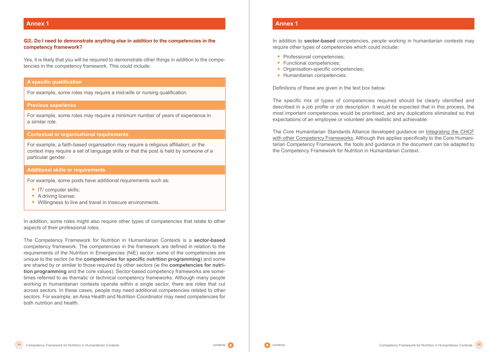### **Annex 1**

#### Q2. **Do I need to demonstrate anything else in addition to the competencies in the competency framework?**

Yes, it is likely that you will be required to demonstrate other things in addition to the competencies in the competency framework. This could include:

In addition, some roles might also require other types of competencies that relate to other aspects of their professional roles.

The Competency Framework for Nutrition in Humanitarian Contexts is a **sector-based** competency framework. The competencies in the framework are defined in relation to the requirements of the Nutrition in Emergencies (NiE) sector: some of the competencies are unique to the sector (ie the **competencies for specific nutrition programming**) and some are shared by or similar to those required by other sectors (ie the **competencies for nutrition programming** and the core values). Sector-based competency frameworks are sometimes referred to as thematic or technical competency frameworks. Although many people working in humanitarian contexts operate within a single sector, there are roles that cut across sectors. In these cases, people may need additional competencies related to other sectors. For example, an Area Health and Nutrition Coordinator may need competencies for both nutrition and health.

#### **A specific qualification**

For example, some roles may require a mid-wife or nursing qualification.

#### **Previous experience**

For example, some roles may require a minimum number of years of experience in a similar role.

#### **Contextual or organisational requirements**

For example, a faith-based organisation may require a religious affiliation; or the context may require a set of language skills or that the post is held by someone of a particular gender.

#### **Additional skills or requirements**

For example, some posts have additional requirements such as:

- **•** IT/ computer skills;
- **•** A driving license;
- **•** Willingness to live and travel in insecure environments.

#### **Annex 1**

In addition to **sector-based** competencies, people working in humanitarian contexts may require other types of competencies which could include:

- **•** Professional competencies;
- **•** Functional competencies;
- **•** Organisation-specific competencies;
- **•** Humanitarian competencies.

Definitions of these are given in the text box below.

The specific mix of types of competencies required should be clearly identified and described in a job profile or job description. It would be expected that in this process, the most important competencies would be prioritised, and any duplications eliminated so that expectations of an employee or volunteer are realistic and achievable.

The Core Humanitarian Standards Alliance developed guidance on [Integrating the CHCF](https://www.chsalliance.org/get-support/resource/core-humanitarian-competency-framework/#:~:text=The%20project%20aimed%20to%20assist,competency%2Dbased%20approaches%20to%20HR.)  [with other Competency Frameworks](https://www.chsalliance.org/get-support/resource/core-humanitarian-competency-framework/#:~:text=The%20project%20aimed%20to%20assist,competency%2Dbased%20approaches%20to%20HR.). Although this applies specifically to the Core Humanitarian Competency Framework, the tools and guidance in the document can be adapted to the Competency Framework for Nutrition in Humanitarian Context.

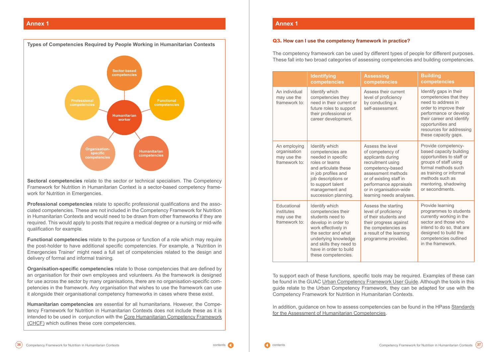### **Annex 1**

**Sectoral competencies** relate to the sector or technical specialism. The Competency Framework for Nutrition in Humanitarian Context is a sector-based competency framework for Nutrition in Emergencies.

**Professional competencies** relate to specific professional qualifications and the associated competencies. These are not included in the Competency Framework for Nutrition in Humanitarian Contexts and would need to be drawn from other frameworks if they are required. This would apply to posts that require a medical degree or a nursing or mid-wife qualification for example.

**Functional competencies** relate to the purpose or function of a role which may require the post-holder to have additional specific competencies. For example, a 'Nutrition in Emergencies Trainer' might need a full set of competencies related to the design and delivery of formal and informal training.

**Organisation-specific competencies** relate to those competencies that are defined by an organisation for their own employees and volunteers. As the framework is designed for use across the sector by many organisations, there are no organisation-specific competencies in the framework. Any organisation that wishes to use the framework can use it alongside their organisational competency frameworks in cases where these exist.

> In addition, guidance on how to assess competencies can be found in the HPass Standards [for the Assessment of Humanitarian Competencies](https://www.humanitarianleadershipacademy.org/wp-content/uploads/2019/03/Standard-for-the-Assessment-of-Humanitarian-Competencies-Handbook.pdf).



**Humanitarian competencies** are essential for all humanitarians. However, the Competency Framework for Nutrition in Humanitarian Contexts does not include these as it is intended to be used in conjunction with the [Core Humanitarian Competency Framework](https://www.chsalliance.org/get-support/resource/core-humanitarian-competency-framework/) [\(CHCF\)](https://www.chsalliance.org/get-support/resource/core-humanitarian-competency-framework/) which outlines these core competencies.



#### **Annex 1**

### Q3. **How can I use the competency framework in practice?**

The competency framework can be used by different types of people for different purposes. These fall into two broad categories of assessing competencies and building competencies.

To support each of these functions, specific tools may be required. Examples of these can be found in the GUAC [Urban Competency Framework User Guide](https://www.humanitarianlibrary.org/sites/default/files/2019/05/7.-Urban-Competency-Framework-User-Guide.pdf). Although the tools in this guide relate to the Urban Competency Framework, they can be adapted for use with the Competency Framework for Nutrition in Humanitarian Contexts.

|                                                              | <b>Identifying</b><br>competencies                                                                                                                                                                                                | <b>Assessing</b><br>competencies                                                                                                                                                                                                     | <b>Building</b><br>competencies                                                                                                                                                                                                  |
|--------------------------------------------------------------|-----------------------------------------------------------------------------------------------------------------------------------------------------------------------------------------------------------------------------------|--------------------------------------------------------------------------------------------------------------------------------------------------------------------------------------------------------------------------------------|----------------------------------------------------------------------------------------------------------------------------------------------------------------------------------------------------------------------------------|
| An individual<br>may use the<br>framework to:                | Identify which<br>competencies they<br>need in their current or<br>future roles to support<br>their professional or<br>career development.                                                                                        | Assess their current<br>level of proficiency<br>by conducting a<br>self-assessment.                                                                                                                                                  | Identify gaps in their<br>competencies that they<br>need to address in<br>order to improve their<br>performance or develop<br>their career and identify<br>opportunities and<br>resources for addressing<br>these capacity gaps. |
| An employing<br>organisation<br>may use the<br>framework to: | Identify which<br>competencies are<br>needed in specific<br>roles or teams<br>and articulate these<br>in job profiles and<br>job descriptions or<br>to support talent<br>management and<br>succession planning.                   | Assess the level<br>of competency of<br>applicants during<br>recruitment using<br>competency-based<br>assessment methods<br>or of existing staff in<br>performance appraisals<br>or in organisation-wide<br>learning needs analyses. | Provide competency-<br>based capacity building<br>opportunities to staff or<br>groups of staff using<br>formal methods such<br>as training or informal<br>methods such as<br>mentoring, shadowing<br>or secondments.             |
| Educational<br>institutes<br>may use the<br>framework to:    | Identify which<br>competencies their<br>students need to<br>develop in order to<br>work effectively in<br>the sector and what<br>underlying knowledge<br>and skills they need to<br>have in order to build<br>these competencies. | Assess the starting<br>level of proficiency<br>of their students and<br>their progress against<br>the competencies as<br>a result of the learning<br>programme provided.                                                             | Provide learning<br>programmes to students<br>currently working in the<br>sector and those who<br>intend to do so, that are<br>designed to build the<br>competencies outlined<br>in the framework.                               |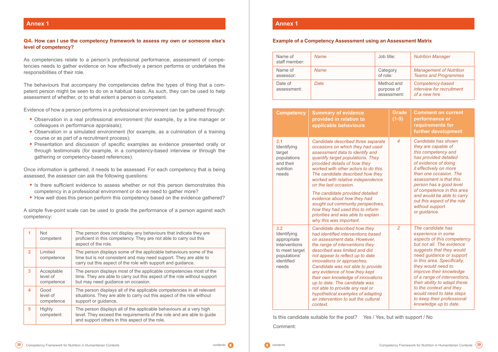### **Annex 1**

#### Q4. **How can I use the competency framework to assess my own or someone else's level of competency?**

As competencies relate to a person's professional performance, assessment of competencies needs to gather evidence on how effectively a person performs or undertakes the responsibilities of their role.

The behaviours that accompany the competencies define the types of thing that a competent person might be seen to do on a habitual basis. As such, they can be used to help assessment of whether, or to what extent a person is competent.

Evidence of how a person performs in a professional environment can be gathered through:

- **•** Observation in a real professional environment (for example, by a line manager or colleagues in performance appraisals);
- **•** Observation in a simulated environment (for example, as a culmination of a training course or as part of a recruitment process);
- **•** Presentation and discussion of specific examples as evidence presented orally or through testimonials (for example, in a competency-based interview or through the gathering or competency-based references).

Once information is gathered, it needs to be assessed. For each competency that is being assessed, the assessor can ask the following questions:

> Is this candidate suitable for the post? Yes / Yes, but with support / No Comment:



- **•** Is there sufficient evidence to assess whether or not this person demonstrates this competency in a professional environment or do we need to gather more?
- **•** How well does this person perform this competency based on the evidence gathered?

A simple five-point scale can be used to grade the performance of a person against each competency:

| 1              | <b>Not</b><br>competent              | The person does not display any behaviours that indicate they are<br>proficient in this competency. They are not able to carry out this<br>aspect of the role.                                         |  |
|----------------|--------------------------------------|--------------------------------------------------------------------------------------------------------------------------------------------------------------------------------------------------------|--|
| $\overline{2}$ | Limited<br>competence                | The person displays some of the applicable behaviours some of the<br>time but is not consistent and may need support. They are able to<br>carry out this aspect of the role with support and guidance. |  |
| 3              | Acceptable<br>level of<br>competence | The person displays most of the applicable competencies most of the<br>time. They are able to carry out this aspect of the role without support<br>but may need guidance on occasion.                  |  |
| 4              | Good<br>level of<br>competence       | The person displays all of the applicable competencies in all relevant<br>situations. They are able to carry out this aspect of the role without<br>support or guidance.                               |  |
| 5              | <b>Highly</b><br>competent           | The person displays all of the applicable behaviours at a very high<br>level. They exceed the requirements of the role and are able to guide<br>and support others in this aspect of the role.         |  |

### **Annex 1**

## **Example of a Competency Assessment using an Assessment Matrix**

| Name of<br>staff member: | <b>Name</b> | Job title:                              | <b>Nutrition Manager</b>                                       |
|--------------------------|-------------|-----------------------------------------|----------------------------------------------------------------|
| Name of<br>assessor:     | <b>Name</b> | Category<br>of role:                    | <b>Management of Nutrition</b><br><b>Teams and Programmes</b>  |
| Date of<br>assessment:   | Date        | Method and<br>purpose of<br>assessment: | Competency-based<br>interview for recruitment<br>of a new hire |

| <b>Competency</b>                                                                                           | <b>Summary of evidence</b><br>provided in relation to<br>applicable behaviours                                                                                                                                                                                                                                                                                                                                                                                                                                                        | <b>Grade</b><br>$(1-5)$ | <b>Comment on current</b><br>performance or<br>requirements for<br>further development                                                                                                                                                                                                                                                                                                                                   |
|-------------------------------------------------------------------------------------------------------------|---------------------------------------------------------------------------------------------------------------------------------------------------------------------------------------------------------------------------------------------------------------------------------------------------------------------------------------------------------------------------------------------------------------------------------------------------------------------------------------------------------------------------------------|-------------------------|--------------------------------------------------------------------------------------------------------------------------------------------------------------------------------------------------------------------------------------------------------------------------------------------------------------------------------------------------------------------------------------------------------------------------|
| 3.1<br>Identifying<br>target<br>populations<br>and their<br>nutrition<br>needs                              | Candidate described three separate<br>occasions on which they had used<br>assessment data to identify and<br>quantify target populations. They<br>provided details of how they<br>worked with other actors to do this.<br>The candidate described how they<br>worked with relative independence<br>on the last occasion.<br>The candidate provided detailed<br>evidence about how they had<br>sought out community perspectives,<br>how they had used this to inform<br>priorities and was able to explain<br>why this was important. | 4                       | Candidate has shown<br>they are capable of<br>this competency and<br>has provided detailed<br>of evidence of doing<br>it effectively on more<br>than one occasion. The<br>assessment is that this<br>person has a good level<br>of competence in this area<br>and would be able to carry<br>out this aspect of the role<br>without support<br>or guidance.                                                               |
| 3.2<br>Identifying<br>appropriate<br>interventions<br>to meet target<br>populations'<br>identified<br>needs | Candidate described how they<br>had identified interventions based<br>on assessment data. However,<br>the range of interventions they<br>described was limited and did<br>not appear to reflect up to date<br>innovations or approaches.<br>Candidate was not able to provide<br>any evidence of how they kept<br>their own knowledge of innovations<br>up to date. The candidate was<br>not able to provide any real or<br>hypothetical examples of adapting<br>an intervention to suit the cultural<br>context.                     | $\overline{2}$          | The candidate has<br>experience in some<br>aspects of this competency<br>but not all. The evidence<br>suggests that they would<br>need guidance or support<br>in this area. Specifically,<br>they would need to<br>improve their knowledge<br>of a range of interventions,<br>their ability to adapt these<br>to the context and they<br>would need to take steps<br>to keep their professional<br>knowledge up to date. |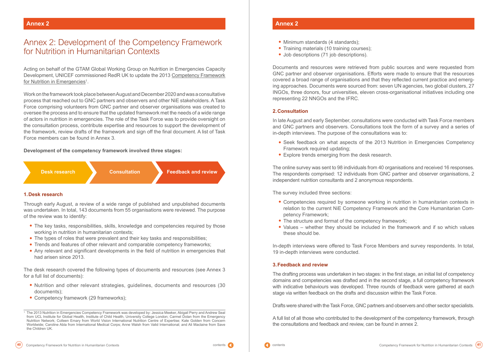Acting on behalf of the GTAM Global Working Group on Nutrition in Emergencies Capacity Development, UNICEF commissioned RedR UK to update the 2013 [Competency Framework](https://www.cambridge.org/core/journals/public-health-nutrition/article/development-of-a-competency-framework-for-the-nutrition-in-emergencies-sector/2A08663342CD1552DB4FA171CB44BB72) for Nutrition in Emergencies<sup>1</sup>.

# <span id="page-21-0"></span>Annex 2: Development of the Competency Framework for Nutrition in Humanitarian Contexts

Work on the framework took place between August and December 2020 and was a consultative process that reached out to GNC partners and observers and other NiE stakeholders. A Task Force comprising volunteers from GNC partner and observer organisations was created to oversee the process and to ensure that the updated framework met the needs of a wide range of actors in nutrition in emergencies. The role of the Task Force was to provide oversight on the consultation process, contribute expertise and resources to support the development of the framework, review drafts of the framework and sign off the final document. A list of Task Force members can be found in Annex 3.

- The key tasks, responsibilities, skills, knowledge and competencies required by those working in nutrition in humanitarian contexts;
- **•** The types of roles that were prevalent and their key tasks and responsibilities;
- **•** Trends and features of other relevant and comparable competency frameworks;
- Any relevant and significant developments in the field of nutrition in emergencies that had arisen since 2013.

- Nutrition and other relevant strategies, guidelines, documents and resources (30 documents);
- **•** Competency framework (29 frameworks);

#### **Development of the competency framework involved three stages:**

### **1.Desk research**

Through early August, a review of a wide range of published and unpublished documents was undertaken. In total, 143 documents from 55 organisations were reviewed. The purpose of the review was to identify:

- **•** Minimum standards (4 standards);
- **•** Training materials (10 training courses);
- Job descriptions (71 job descriptions).

The desk research covered the following types of documents and resources (see Annex 3 for a full list of documents):

**Desk research**



**Consultation Feedback and review**

## **Annex 2**

Documents and resources were retrieved from public sources and were requested from GNC partner and observer organisations. Efforts were made to ensure that the resources covered a broad range of organisations and that they reflected current practice and emerging approaches. Documents were sourced from: seven UN agencies, two global clusters, 27 INGOs, three donors, four universities, eleven cross-organisational initiatives including one representing 22 NNGOs and the IFRC.

### **2.Consultation**

In late August and early September, consultations were conducted with Task Force members and GNC partners and observers. Consultations took the form of a survey and a series of in-depth interviews. The purpose of the consultations was to:

- **•** Seek feedback on what aspects of the 2013 Nutrition in Emergencies Competency Framework required updating;
- **•** Explore trends emerging from the desk research.

The online survey was sent to 98 individuals from 40 organisations and received 16 responses. The respondents comprised: 12 individuals from GNC partner and observer organisations, 2 independent nutrition consultants and 2 anonymous respondents.

The survey included three sections:

**•** Competencies required by someone working in nutrition in humanitarian contexts in relation to the current NiE Competency Framework and the Core Humanitarian Com-

- petency Framework;
- **•** The structure and format of the competency framework;
- these should be.

**•** Values – whether they should be included in the framework and if so which values



In-depth interviews were offered to Task Force Members and survey respondents. In total, 19 in-depth interviews were conducted.

### **3.Feedback and review**

The drafting process was undertaken in two stages: in the first stage, an initial list of competency domains and competencies was drafted and in the second stage, a full competency framework with indicative behaviours was developed. Three rounds of feedback were gathered at each stage via written feedback on the drafts and discussion within the Task Force.

Drafts were shared with the Task Force, GNC partners and observers and other sector specialists.

A full list of all those who contributed to the development of the competency framework, through the consultations and feedback and review, can be found in annex 2.

<sup>1</sup> The 2013 Nutrition in Emergencies Competency Framework was developed by: Jessica Meeker, Abigail Perry and Andrew Seal from UCL Institute for Global Health, Institute of Child Health, University College London; Carmel Dolan from the Emergency Nutrition Network; Colleen Emary from World Vision International Nutrition Centre of Expertise; Kate Golden from Concern Worldwide; Caroline Abla from International Medical Corps; Anne Walsh from Valid International; and Ali Maclaine from Save the Children UK.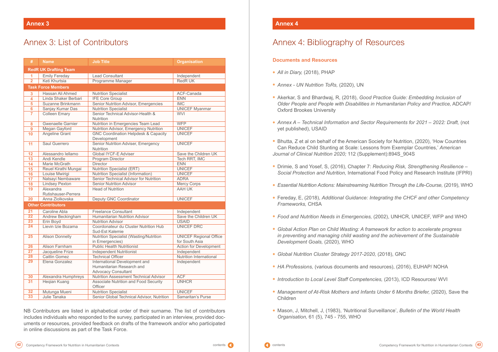# <span id="page-22-0"></span>Annex 3: List of Contributors

NB Contributors are listed in alphabetical order of their surname. The list of contributors includes individuals who responded to the survey, participated in an interview, provided documents or resources, provided feedback on drafts of the framework and/or who participated in online discussions as part of the Task Force.

| #                            | <b>Name</b>               | <b>Job Title</b>                                                                         | <b>Organisation</b>           |  |  |  |
|------------------------------|---------------------------|------------------------------------------------------------------------------------------|-------------------------------|--|--|--|
| <b>RedR UK Drafting Team</b> |                           |                                                                                          |                               |  |  |  |
| 1                            | <b>Emily Fereday</b>      | <b>Lead Consultant</b>                                                                   | Independent                   |  |  |  |
| $\overline{2}$               | Keti Khurtsia             | Programme Manager                                                                        | <b>RedRUK</b>                 |  |  |  |
|                              | <b>Task Force Members</b> |                                                                                          |                               |  |  |  |
| $\overline{\mathbf{3}}$      | Hassan Ali Ahmed          | <b>Nutrition Specialist</b>                                                              | ACF-Canada                    |  |  |  |
| 4                            | Linda Shaker Berbari      | <b>IFE Core Group</b>                                                                    | <b>ENN</b>                    |  |  |  |
| 5                            | Suzanne Brinkmann         | Senior Nutrition Advisor, Emergencies                                                    | <b>IMC</b>                    |  |  |  |
| $6\phantom{a}$               | Sanjay Kumar Das          | <b>Nutrition Specialist</b>                                                              | <b>UNICEF Myanmar</b>         |  |  |  |
| $\overline{7}$               | <b>Colleen Emary</b>      | Senior Technical Advisor-Health &<br><b>Nutrition</b>                                    | <b>WVI</b>                    |  |  |  |
| 8                            | <b>Gwenaelle Garnier</b>  | Nutrition in Emergencies Team Lead                                                       | <b>WFP</b>                    |  |  |  |
| 9                            | Megan Gayford             | Nutrition Advisor, Emergency Nutrition                                                   | <b>UNICEF</b>                 |  |  |  |
| 10                           | Angeline Grant            | <b>GNC Coordination Helpdesk &amp; Capacity</b><br>Development                           | <b>UNICEF</b>                 |  |  |  |
| 11                           | Saul Guerrero             | Senior Nutrition Adviser, Emergency<br><b>Nutrition</b>                                  | <b>UNICEF</b>                 |  |  |  |
| 12                           | Alessandro Iellamo        | <b>Global IYCF-E Adviser</b>                                                             | Save the Children UK          |  |  |  |
| 13                           | Andi Kendle               | Program Director                                                                         | Tech RRT, IMC                 |  |  |  |
| 14                           | Marie McGrath             | <b>Director</b>                                                                          | <b>ENN</b>                    |  |  |  |
| 15                           | Reuel Kirathi Mungai      | <b>Nutrition Specialist (ERT)</b>                                                        | <b>UNICEF</b>                 |  |  |  |
| 16                           | Louise Mwirigi            | Nutrition Specialist (Information)                                                       | <b>UNICEF</b>                 |  |  |  |
| 17                           | Natsayi Nembaware         | Senior Technical Advisor for Nutrition                                                   | <b>ADRA</b>                   |  |  |  |
| 18                           | <b>Lindsey Pexton</b>     | <b>Senior Nutrition Advisor</b>                                                          | <b>Mercy Corps</b>            |  |  |  |
| 19                           | Alexandra                 | <b>Head of Nutrition</b>                                                                 | <b>AAH UK</b>                 |  |  |  |
|                              | Rutishauser-Perrera       |                                                                                          |                               |  |  |  |
| 20                           | Anna Ziolkovska           | Deputy GNC Coordinator                                                                   | <b>UNICEF</b>                 |  |  |  |
|                              | <b>Other Contributors</b> |                                                                                          |                               |  |  |  |
| 21                           | Caroline Abla             | <b>Freelance Consultant</b>                                                              | Independent                   |  |  |  |
| $\overline{22}$              | Andrew Beckingham         | <b>Humanitarian Nutrition Advisor</b>                                                    | Save the Children UK          |  |  |  |
| $\overline{23}$              | Erin Boyd                 | <b>Nutrition Advisor</b>                                                                 | <b>USAID</b>                  |  |  |  |
| $\overline{24}$              | Lievin Izie Bozama        | Coordonateur du Cluster Nutrition Hub<br>Sud-Est Kalemie                                 | <b>UNICEF DRC</b>             |  |  |  |
| $\overline{25}$              | <b>Alison Donnelly</b>    | Nutrition Specialist (Wasting/Nutrition                                                  | <b>UNICEF Regional Office</b> |  |  |  |
|                              |                           | in Emergencies)                                                                          | for South Asia                |  |  |  |
| 26                           | Alison Farnham            | <b>Public Health Nutritionist</b>                                                        | <b>Action for Development</b> |  |  |  |
| $\overline{27}$              | Jacqueline Frize          | <b>Independent Nutritionist</b>                                                          | Independent                   |  |  |  |
| <b>28</b>                    | Caitlin Gomez             | <b>Technical Officer</b>                                                                 | Nutrition International       |  |  |  |
| 29                           | Elena Gonzalez            | International Development and<br>Humanitarian Research and<br><b>Advocacy Consultant</b> | Independent                   |  |  |  |
| 30                           | Alexandra Humphreys       | <b>Nutrition Assessment Technical Advisor</b>                                            | <b>ACF</b>                    |  |  |  |
| $\overline{31}$              | Heqian Kuang              | Associate Nutrition and Food Security<br>Officer                                         | <b>UNHCR</b>                  |  |  |  |
| 32                           | Mutunga Mueni             | <b>Nutrition Specialist</b>                                                              | <b>UNICEF</b>                 |  |  |  |
| $\overline{33}$              | Julie Tanaka              | Senior Global Technical Advisor, Nutrition                                               | Samaritan's Purse             |  |  |  |

### **Annex 4**

# Annex 4: Bibliography of Resources

## **Documents and Resources**

- **•** *All in Diary,* (2018), PHAP
- **•** *Annex UN Nutrition ToRs,* (2020), UN
- **•** Akerkar, S and Bhardwaj, R, (2018), *Good Practice Guide: Embedding Inclusion of Older People and People with Disabilities in Humanitarian Policy and Practice,* ADCAP/ Oxford Brookes University
- **•** *Annex A Technical Information and Sector Requirements for 2021 2022: Draft,* (not yet published), USAID
- **•** Bhutta, Z et al on behalf of the American Society for Nutrition, (2020), 'How Countries Can Reduce Child Stunting at Scale: Lessons from Exemplar Countries,' *American Journal of Clinical Nutrition 2020;* 112 (Supplement):894S\_904S
- **•** Drimie, S and Yosef, S, (2016), Chapter 7: *Reducing Risk, Strengthening Resilience Social Protection and Nutrition,* International Food Policy and Research Institute (IFPRI)
- **•** *Essential Nutrition Actions: Mainstreaming Nutrition Through the Life-Course,* (2019), WHO
- **•** Fereday, E, (2018), *Additional Guidance: Integrating the CHCF and other Competency Frameworks,* CHSA
- **•** *Food and Nutrition Needs in Emergencies,* (2002), UNHCR, UNICEF, WFP and WHO
- **•** *Global Action Plan on Child Wasting: A framework for action to accelerate progress in preventing and managing child wasting and the achievement of the Sustainable Development Goals,* (2020), WHO
- **•** *Global Nutrition Cluster Strategy 2017-2020,* (2018), GNC
- **•** *HA Professions,* (various documents and resources), (2016), EUHAP/ NOHA
- **•** *Introduction to Local Level Staff Competencies,* (2013), ICD Resources/ WVI
- **•** *Management of At-Risk Mothers and Infants Under 6 Months Briefer,* (2020), Save the Children
- **•** Mason, J, Mitchell, J, (1983), 'Nutritional Surveillance', *Bulletin of the World Health Organisation,* 61 (5), 745 - 755, WHO

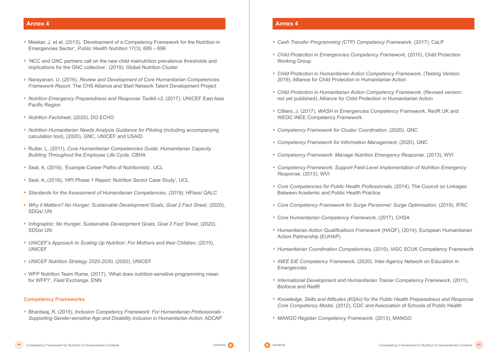- **•** Meeker, J. et al, (2013), 'Development of a Competency Framework for the Nutrition in Emergencies Sector', *Public Health Nutrition* 17(3), 689 – 699
- **•** 'NCC and GNC partners call on the new child malnutrition prevalence thresholds and implications for the GNC collective', (2019), Global Nutrition Cluster
- **•** Narayanan, U, (2016), *Review and Development of Core Humanitarian Competencies Framework Report,* The CHS Alliance and Start Network Talent Development Project
- **•** *Nutrition Emergency Preparedness and Response Toolkit v3,* (2017), UNICEF East Asia Pacific Region
- **•** *Nutrition Factsheet,* (2020), DG ECHO
- **•** *Nutrition Humanitarian Needs Analysis Guidance for Piloting* (including accompanying calculation tool), (2020), GNC, UNICEF and USAID
- **•** Rutter, L, (2011), *Core Humanitarian Competencies Guide: Humanitarian Capacity Building Throughout the Employee Life Cycle,* CBHA
- **•** Seal, A, (2016), 'Example Career Paths of Nutritionists', UCL
- **•** Seal, A, (2016), 'HPI Phase 1 Report: Nutrition Sector Case Study', UCL
- **•** *Standards for the Assessment of Humanitarian Competencies, (2019),* HPass/ QALC
- **•** *Why it Matters? No Hunger, Sustainable Development Goals, Goal 2 Fact Sheet,* (2020), SDGs/ UN
- **•** *Infographic: No Hunger, Sustainable Development Goals, Goal 2 Fact Sheet,* (2020), SDGs/ UN
- **•** *UNICEF's Approach to Scaling Up Nutrition: For Mothers and their Children,* (2015), UNICEF
- **•** *UNICEF Nutrition Strategy 2020-2030,* (2020), UNICEF
- **•** WFP Nutrition Team Rome, (2017), 'What does nutrition-sensitive programming mean for WFP?', *Field Exchange,* ENN

#### **Competency Frameworks**

**•** Bhardwaj, R, (2015), *Inclusion Competency Framework: For Humanitarian Professionals - Supporting Gender-sensitive Age and Disability Inclusion in Humanitarian Action,* ADCAP

- **•** *Cash Transfer Programming (CTP) Competency Framework,* (2017), CaLP
- **•** *Child Protection in Emergencies Competency Framework,* (2010), Child Protection Working Group
- **•** *Child Protection in Humanitarian Action Competency Framework,* (Testing Version: 2019), Alliance for Child Protection in Humanitarian Action
- **•** *Child Protection in Humanitarian Action Competency Framework,* (Revised version: not yet published), Alliance for Child Protection in Humanitarian Action
- **•** Cilliers, J, (2017), *WASH in Emergencies Competency Framework,* RedR UK and WEDC INEE Competency Framework
- **•** *Competency Framework for Cluster Coordination,* (2020), GNC
- **•** *Competency Framework for Information Management,* (2020), GNC
- **•** *Competency Framework: Manage Nutrition Emergency Response,* (2013), WVI
- **•** *Competency Framework: Support Field Level Implementation of Nutrition Emergency Response,* (2013), WVI
- **•** *Core Competencies for Public Health Professionals,* (2014), The Council on Linkages Between Academic and Public Health Practice
- **•** *Core Competency Framework for Surge Personnel: Surge Optimisation,* (2019), IFRC
- **•** *Core Humanitarian Competency Framework,* (2017), CHSA
- **•** *Humanitarian Action Qualifications Framework* (HAQF), (2014), European Humanitarian Action Partnership (EUHAP)
- **•** *Humanitarian Coordination Competencies,* (2010), IASC SCUK Competency Framework
- **•** *INEE EiE Competency Framework,* (2020), Inter-Agency Network on Education in **Emergencies**
- **•** *International Development and Humanitarian Trainer Competency Framework,* (2011), Bioforce and RedR
- **•** *Knowledge, Skills and Attitudes (KSAs) for the Public Health Preparedness and Response Core Competency Model,* (2012), CDC and Association of Schools of Public Health
- **•** *MANGO Register Competency Framework,* (2013), MANGO





### **Annex 4 Annex 4**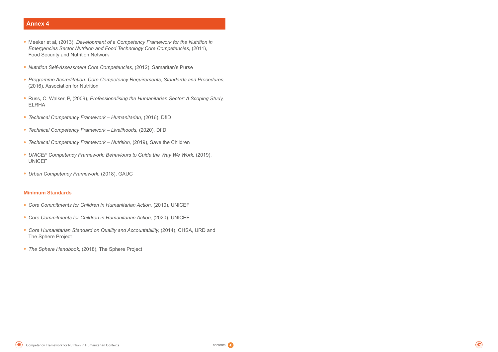



- **•** Meeker et al, (2013), *Development of a Competency Framework for the Nutrition in Emergencies Sector Nutrition and Food Technology Core Competencies,* (2011), Food Security and Nutrition Network
- **•** *Nutrition Self-Assessment Core Competencies,* (2012), Samaritan's Purse
- **•** *Programme Accreditation: Core Competency Requirements, Standards and Procedures,* (2016), Association for Nutrition
- **•** Russ, C, Walker, P, (2009), *Professionalising the Humanitarian Sector: A Scoping Study,*  ELRHA
- **•** *Technical Competency Framework Humanitarian,* (2016), DfID
- **•** *Technical Competency Framework Livelihoods,* (2020), DfID
- **•** *Technical Competency Framework Nutrition,* (2019), Save the Children
- **•** *UNICEF Competency Framework: Behaviours to Guide the Way We Work,* (2019), UNICEF
- **•** *Urban Competency Framework,* (2018), GAUC

#### **Minimum Standards**

- **•** *Core Commitments for Children in Humanitarian Action,* (2010), UNICEF
- **•** *Core Commitments for Children in Humanitarian Action,* (2020), UNICEF
- **•** *Core Humanitarian Standard on Quality and Accountability,* (2014), CHSA, URD and The Sphere Project
- **•** *The Sphere Handbook,* (2018), The Sphere Project

## **Annex 4**